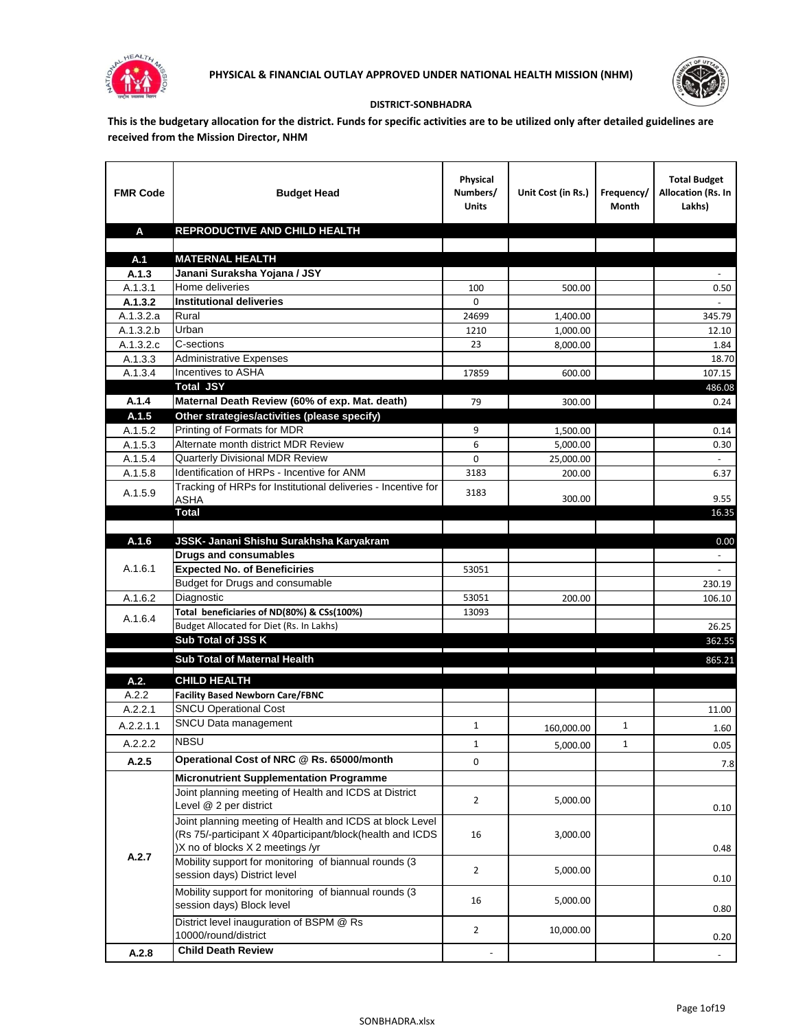



## **DISTRICT-SONBHADRA**

**This is the budgetary allocation for the district. Funds for specific activities are to be utilized only after detailed guidelines are received from the Mission Director, NHM**

| <b>FMR Code</b>      | <b>Budget Head</b>                                            | Physical<br>Numbers/<br><b>Units</b>                                            | Unit Cost (in Rs.) | Frequency/<br>Month             | <b>Total Budget</b><br>Allocation (Rs. In<br>Lakhs) |
|----------------------|---------------------------------------------------------------|---------------------------------------------------------------------------------|--------------------|---------------------------------|-----------------------------------------------------|
| A                    | REPRODUCTIVE AND CHILD HEALTH                                 |                                                                                 |                    |                                 |                                                     |
|                      |                                                               |                                                                                 |                    |                                 |                                                     |
| A.1                  | <b>MATERNAL HEALTH</b>                                        |                                                                                 |                    |                                 |                                                     |
| A.1.3                | Janani Suraksha Yojana / JSY                                  |                                                                                 |                    |                                 |                                                     |
| A.1.3.1              | Home deliveries                                               | 100                                                                             | 500.00             |                                 | 0.50                                                |
| A.1.3.2              | <b>Institutional deliveries</b>                               | 0                                                                               |                    |                                 |                                                     |
| A.1.3.2.a            | Rural                                                         | 24699                                                                           | 1,400.00           |                                 | 345.79                                              |
| A.1.3.2.b            | Urban<br>C-sections                                           | 1210                                                                            | 1,000.00           |                                 | 12.10                                               |
| A.1.3.2.c<br>A.1.3.3 | <b>Administrative Expenses</b>                                | 23                                                                              | 8,000.00           |                                 | 1.84<br>18.70                                       |
| A.1.3.4              | Incentives to ASHA                                            | 17859                                                                           | 600.00             |                                 | 107.15                                              |
|                      | <b>Total JSY</b>                                              |                                                                                 |                    |                                 | 486.08                                              |
| A.1.4                | Maternal Death Review (60% of exp. Mat. death)                | 79                                                                              | 300.00             |                                 | 0.24                                                |
| A.1.5                | Other strategies/activities (please specify)                  |                                                                                 |                    |                                 |                                                     |
| A.1.5.2              | Printing of Formats for MDR                                   | 9                                                                               | 1,500.00           |                                 | 0.14                                                |
| A.1.5.3              | Alternate month district MDR Review                           | 6                                                                               | 5,000.00           |                                 | 0.30                                                |
| A.1.5.4              | <b>Quarterly Divisional MDR Review</b>                        | 0                                                                               | 25,000.00          |                                 |                                                     |
| A.1.5.8              | Identification of HRPs - Incentive for ANM                    | 3183                                                                            | 200.00             |                                 | 6.37                                                |
| A.1.5.9              | Tracking of HRPs for Institutional deliveries - Incentive for |                                                                                 |                    |                                 |                                                     |
|                      | ASHA                                                          | 3183                                                                            | 300.00             |                                 | 9.55                                                |
|                      | Total                                                         |                                                                                 |                    |                                 | 16.35                                               |
|                      |                                                               |                                                                                 |                    |                                 |                                                     |
| A.1.6                | JSSK- Janani Shishu Surakhsha Karyakram                       |                                                                                 |                    |                                 | 0.00                                                |
|                      | <b>Drugs and consumables</b>                                  |                                                                                 |                    |                                 | $\sim$                                              |
| A.1.6.1              | <b>Expected No. of Beneficiries</b>                           | 53051                                                                           |                    |                                 | $\omega$                                            |
|                      | Budget for Drugs and consumable<br>Diagnostic                 | 53051                                                                           |                    |                                 | 230.19<br>106.10                                    |
| A.1.6.2              | Total beneficiaries of ND(80%) & CSs(100%)                    | 13093                                                                           | 200.00             |                                 |                                                     |
| A.1.6.4              | Budget Allocated for Diet (Rs. In Lakhs)                      |                                                                                 |                    |                                 | 26.25                                               |
|                      | <b>Sub Total of JSS K</b>                                     |                                                                                 |                    |                                 | 362.55                                              |
|                      |                                                               |                                                                                 |                    |                                 |                                                     |
|                      | Sub Total of Maternal Health                                  | the contract of the contract of the contract of the contract of the contract of |                    | the contract of the contract of | 865.21                                              |
| A.2.                 | <b>CHILD HEALTH</b>                                           |                                                                                 |                    |                                 |                                                     |
| A.2.2                | <b>Facility Based Newborn Care/FBNC</b>                       |                                                                                 |                    |                                 |                                                     |
| A.2.2.1              | <b>SNCU Operational Cost</b>                                  |                                                                                 |                    |                                 | 11.00                                               |
| A.2.2.1.1            | SNCU Data management                                          | $\mathbf{1}$                                                                    | 160,000.00         | 1                               | 1.60                                                |
| A.2.2.2              | <b>NBSU</b>                                                   | $\mathbf{1}$                                                                    | 5,000.00           | 1                               | 0.05                                                |
| A.2.5                | Operational Cost of NRC @ Rs. 65000/month                     | 0                                                                               |                    |                                 |                                                     |
|                      | <b>Micronutrient Supplementation Programme</b>                |                                                                                 |                    |                                 | 7.8                                                 |
|                      | Joint planning meeting of Health and ICDS at District         |                                                                                 |                    |                                 |                                                     |
|                      | Level @ 2 per district                                        | $\overline{2}$                                                                  | 5,000.00           |                                 | 0.10                                                |
|                      | Joint planning meeting of Health and ICDS at block Level      |                                                                                 |                    |                                 |                                                     |
|                      | (Rs 75/-participant X 40participant/block(health and ICDS     | 16                                                                              | 3,000.00           |                                 |                                                     |
|                      | )X no of blocks X 2 meetings /yr                              |                                                                                 |                    |                                 | 0.48                                                |
| A.2.7                | Mobility support for monitoring of biannual rounds (3         |                                                                                 |                    |                                 |                                                     |
|                      | session days) District level                                  | $\overline{2}$                                                                  | 5,000.00           |                                 | 0.10                                                |
|                      | Mobility support for monitoring of biannual rounds (3         |                                                                                 |                    |                                 |                                                     |
|                      | session days) Block level                                     | 16                                                                              | 5,000.00           |                                 | 0.80                                                |
|                      | District level inauguration of BSPM @ Rs                      | $\overline{2}$                                                                  | 10,000.00          |                                 |                                                     |
|                      | 10000/round/district                                          |                                                                                 |                    |                                 | 0.20                                                |
| A.2.8                | <b>Child Death Review</b>                                     |                                                                                 |                    |                                 |                                                     |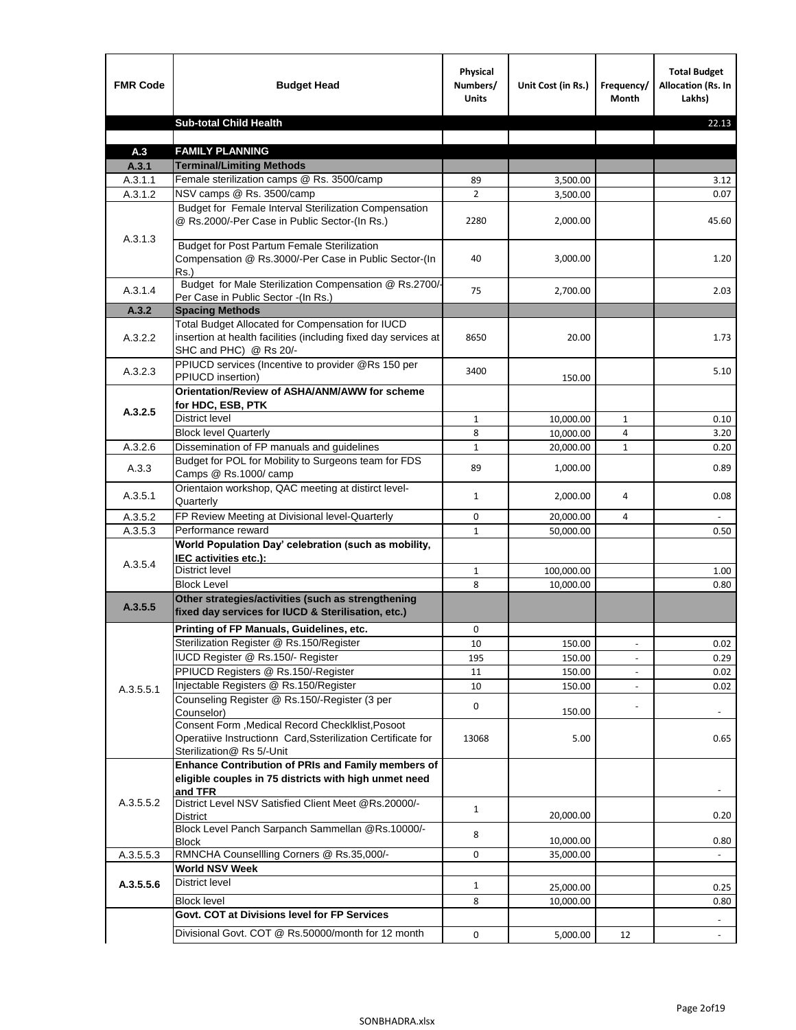| <b>FMR Code</b>    | <b>Budget Head</b>                                                                                                                            | Physical<br>Numbers/<br><b>Units</b> | Unit Cost (in Rs.)   | Frequency/<br>Month | <b>Total Budget</b><br><b>Allocation (Rs. In</b><br>Lakhs) |
|--------------------|-----------------------------------------------------------------------------------------------------------------------------------------------|--------------------------------------|----------------------|---------------------|------------------------------------------------------------|
|                    | <b>Sub-total Child Health</b>                                                                                                                 |                                      |                      |                     | 22.13                                                      |
|                    |                                                                                                                                               |                                      |                      |                     |                                                            |
| A.3                | <b>FAMILY PLANNING</b>                                                                                                                        |                                      |                      |                     |                                                            |
| A.3.1              | <b>Terminal/Limiting Methods</b><br>Female sterilization camps @ Rs. 3500/camp                                                                | 89                                   |                      |                     |                                                            |
| A.3.1.1<br>A.3.1.2 | NSV camps @ Rs. 3500/camp                                                                                                                     | $\overline{2}$                       | 3,500.00<br>3,500.00 |                     | 3.12<br>0.07                                               |
|                    | Budget for Female Interval Sterilization Compensation<br>@ Rs.2000/-Per Case in Public Sector-(In Rs.)                                        | 2280                                 | 2,000.00             |                     | 45.60                                                      |
| A.3.1.3            | <b>Budget for Post Partum Female Sterilization</b><br>Compensation @ Rs.3000/-Per Case in Public Sector-(In<br>$Rs.$ )                        | 40                                   | 3,000.00             |                     | 1.20                                                       |
| A.3.1.4            | Budget for Male Sterilization Compensation @ Rs.2700/-<br>Per Case in Public Sector -(In Rs.)                                                 | 75                                   | 2,700.00             |                     | 2.03                                                       |
| A.3.2              | <b>Spacing Methods</b>                                                                                                                        |                                      |                      |                     |                                                            |
| A.3.2.2            | Total Budget Allocated for Compensation for IUCD<br>insertion at health facilities (including fixed day services at<br>SHC and PHC) @ Rs 20/- | 8650                                 | 20.00                |                     | 1.73                                                       |
| A.3.2.3            | PPIUCD services (Incentive to provider @Rs 150 per<br>PPIUCD insertion)                                                                       | 3400                                 | 150.00               |                     | 5.10                                                       |
| A.3.2.5            | Orientation/Review of ASHA/ANM/AWW for scheme<br>for HDC, ESB, PTK                                                                            |                                      |                      |                     |                                                            |
|                    | <b>District level</b>                                                                                                                         | $\mathbf{1}$                         | 10,000.00            | $\mathbf{1}$        | 0.10                                                       |
|                    | <b>Block level Quarterly</b>                                                                                                                  | 8                                    | 10,000.00            | 4                   | 3.20                                                       |
| A.3.2.6            | Dissemination of FP manuals and guidelines                                                                                                    | $\mathbf{1}$                         | 20,000.00            | 1                   | 0.20                                                       |
| A.3.3              | Budget for POL for Mobility to Surgeons team for FDS<br>Camps @ Rs.1000/camp                                                                  | 89                                   | 1,000.00             |                     | 0.89                                                       |
| A.3.5.1            | Orientaion workshop, QAC meeting at distirct level-<br>Quarterly                                                                              | 1                                    | 2,000.00             | 4                   | 0.08                                                       |
| A.3.5.2            | FP Review Meeting at Divisional level-Quarterly                                                                                               | 0                                    | 20,000.00            | 4                   |                                                            |
| A.3.5.3            | Performance reward                                                                                                                            | $\mathbf{1}$                         | 50,000.00            |                     | 0.50                                                       |
| A.3.5.4            | World Population Day' celebration (such as mobility,<br>IEC activities etc.):                                                                 |                                      |                      |                     |                                                            |
|                    | District level                                                                                                                                | $\mathbf{1}$                         | 100,000.00           |                     | 1.00                                                       |
|                    | <b>Block Level</b>                                                                                                                            | 8                                    | 10,000.00            |                     | 0.80                                                       |
| A.3.5.5            | Other strategies/activities (such as strengthening<br>fixed day services for IUCD & Sterilisation, etc.)                                      |                                      |                      |                     |                                                            |
|                    | Printing of FP Manuals, Guidelines, etc.                                                                                                      | 0                                    |                      |                     |                                                            |
|                    | Sterilization Register @ Rs.150/Register                                                                                                      | 10                                   | 150.00               |                     | 0.02                                                       |
|                    | IUCD Register @ Rs.150/- Register                                                                                                             | 195                                  | 150.00               |                     | 0.29                                                       |
|                    | PPIUCD Registers @ Rs.150/-Register                                                                                                           | 11                                   | 150.00               |                     | 0.02                                                       |
| A.3.5.5.1          | Injectable Registers @ Rs.150/Register                                                                                                        | 10                                   | 150.00               |                     | 0.02                                                       |
|                    | Counseling Register @ Rs.150/-Register (3 per<br>Counselor)<br>Consent Form , Medical Record CheckIklist, Posoot                              | 0                                    | 150.00               |                     |                                                            |
|                    | Operatiive Instructionn Card, Ssterilization Certificate for<br>Sterilization@ Rs 5/-Unit                                                     | 13068                                | 5.00                 |                     | 0.65                                                       |
|                    | Enhance Contribution of PRIs and Family members of<br>eligible couples in 75 districts with high unmet need<br>and TFR                        |                                      |                      |                     |                                                            |
| A.3.5.5.2          | District Level NSV Satisfied Client Meet @Rs.20000/-<br><b>District</b>                                                                       | $\mathbf{1}$                         | 20,000.00            |                     | 0.20                                                       |
|                    | Block Level Panch Sarpanch Sammellan @Rs.10000/-<br><b>Block</b>                                                                              | 8                                    | 10,000.00            |                     | 0.80                                                       |
| A.3.5.5.3          | RMNCHA Counsellling Corners @ Rs.35,000/-                                                                                                     | 0                                    | 35,000.00            |                     |                                                            |
|                    | <b>World NSV Week</b>                                                                                                                         |                                      |                      |                     |                                                            |
| A.3.5.5.6          | <b>District level</b>                                                                                                                         | $\mathbf{1}$                         | 25,000.00            |                     | 0.25                                                       |
|                    | <b>Block level</b>                                                                                                                            | 8                                    | 10,000.00            |                     | 0.80                                                       |
|                    | Govt. COT at Divisions level for FP Services                                                                                                  |                                      |                      |                     |                                                            |
|                    | Divisional Govt. COT @ Rs.50000/month for 12 month                                                                                            | 0                                    | 5,000.00             | 12                  |                                                            |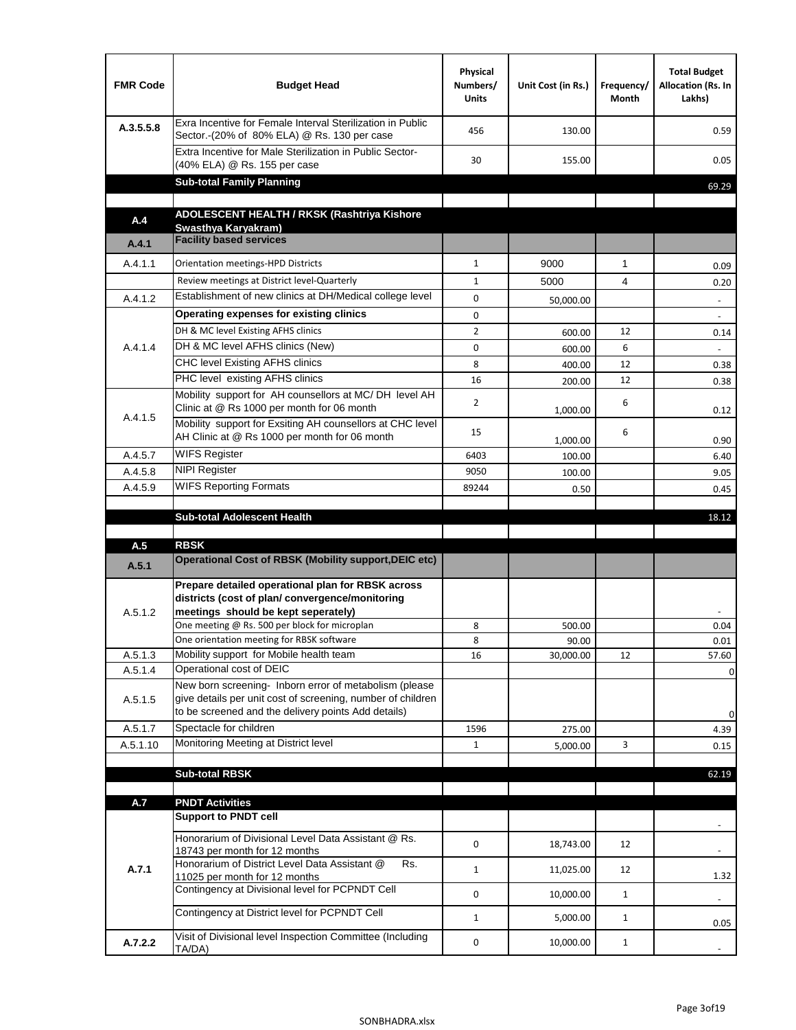| <b>FMR Code</b> | <b>Budget Head</b>                                                                                                                                                           | Physical<br>Numbers/<br><b>Units</b> | Unit Cost (in Rs.) | Frequency/<br><b>Month</b> | <b>Total Budget</b><br>Allocation (Rs. In<br>Lakhs) |
|-----------------|------------------------------------------------------------------------------------------------------------------------------------------------------------------------------|--------------------------------------|--------------------|----------------------------|-----------------------------------------------------|
| A.3.5.5.8       | Exra Incentive for Female Interval Sterilization in Public<br>Sector.-(20% of 80% ELA) @ Rs. 130 per case                                                                    | 456                                  | 130.00             |                            | 0.59                                                |
|                 | Extra Incentive for Male Sterilization in Public Sector-<br>(40% ELA) @ Rs. 155 per case                                                                                     | 30                                   | 155.00             |                            | 0.05                                                |
|                 | <b>Sub-total Family Planning</b>                                                                                                                                             |                                      |                    |                            | 69.29                                               |
|                 | ADOLESCENT HEALTH / RKSK (Rashtriya Kishore                                                                                                                                  |                                      |                    |                            |                                                     |
| A.4             | Swasthva Karvakram)<br><b>Facility based services</b>                                                                                                                        |                                      |                    |                            |                                                     |
| A.4.1           |                                                                                                                                                                              |                                      |                    |                            |                                                     |
| A.4.1.1         | Orientation meetings-HPD Districts                                                                                                                                           | $\mathbf{1}$                         | 9000               | $\mathbf{1}$               | 0.09                                                |
|                 | Review meetings at District level-Quarterly                                                                                                                                  | $\mathbf{1}$                         | 5000               | 4                          | 0.20                                                |
| A.4.1.2         | Establishment of new clinics at DH/Medical college level                                                                                                                     | 0                                    | 50,000.00          |                            | $\overline{\phantom{a}}$                            |
|                 | Operating expenses for existing clinics                                                                                                                                      | 0                                    |                    |                            |                                                     |
|                 | DH & MC level Existing AFHS clinics                                                                                                                                          | $\overline{2}$                       | 600.00             | 12                         | 0.14                                                |
| A.4.1.4         | DH & MC level AFHS clinics (New)                                                                                                                                             | 0                                    | 600.00             | 6                          |                                                     |
|                 | CHC level Existing AFHS clinics                                                                                                                                              | 8                                    | 400.00             | 12                         | 0.38                                                |
|                 | PHC level existing AFHS clinics                                                                                                                                              | 16                                   | 200.00             | 12                         | 0.38                                                |
| A.4.1.5         | Mobility support for AH counsellors at MC/DH level AH<br>Clinic at @ Rs 1000 per month for 06 month                                                                          | $\overline{2}$                       | 1,000.00           | 6                          | 0.12                                                |
|                 | Mobility support for Exsiting AH counsellors at CHC level<br>AH Clinic at @ Rs 1000 per month for 06 month                                                                   | 15                                   | 1,000.00           | 6                          | 0.90                                                |
| A.4.5.7         | <b>WIFS Register</b>                                                                                                                                                         | 6403                                 | 100.00             |                            | 6.40                                                |
| A.4.5.8         | <b>NIPI Register</b>                                                                                                                                                         | 9050                                 | 100.00             |                            | 9.05                                                |
| A.4.5.9         | <b>WIFS Reporting Formats</b>                                                                                                                                                | 89244                                | 0.50               |                            | 0.45                                                |
|                 |                                                                                                                                                                              |                                      |                    |                            |                                                     |
|                 | <b>Sub-total Adolescent Health</b>                                                                                                                                           |                                      |                    |                            | 18.12                                               |
|                 |                                                                                                                                                                              |                                      |                    |                            |                                                     |
| A.5<br>A.5.1    | <b>RBSK</b><br><b>Operational Cost of RBSK (Mobility support, DEIC etc)</b>                                                                                                  |                                      |                    |                            |                                                     |
| A.5.1.2         | Prepare detailed operational plan for RBSK across<br>districts (cost of plan/convergence/monitoring<br>meetings should be kept seperately)                                   |                                      |                    |                            |                                                     |
|                 | One meeting @ Rs. 500 per block for microplan                                                                                                                                | 8                                    | 500.00             |                            | 0.04                                                |
|                 | One orientation meeting for RBSK software                                                                                                                                    | 8                                    | 90.00              |                            | 0.01                                                |
| A.5.1.3         | Mobility support for Mobile health team                                                                                                                                      | 16                                   | 30,000.00          | 12                         | 57.60                                               |
| A.5.1.4         | Operational cost of DEIC                                                                                                                                                     |                                      |                    |                            | $\mathbf 0$                                         |
| A.5.1.5         | New born screening- Inborn error of metabolism (please<br>give details per unit cost of screening, number of children<br>to be screened and the delivery points Add details) |                                      |                    |                            | $\mathbf 0$                                         |
| A.5.1.7         | Spectacle for children                                                                                                                                                       | 1596                                 | 275.00             |                            | 4.39                                                |
| A.5.1.10        | Monitoring Meeting at District level                                                                                                                                         | $\mathbf{1}$                         | 5,000.00           | 3                          | 0.15                                                |
|                 |                                                                                                                                                                              |                                      |                    |                            |                                                     |
|                 | <b>Sub-total RBSK</b>                                                                                                                                                        |                                      |                    |                            | 62.19                                               |
|                 |                                                                                                                                                                              |                                      |                    |                            |                                                     |
| A.7             | <b>PNDT Activities</b><br><b>Support to PNDT cell</b>                                                                                                                        |                                      |                    |                            |                                                     |
|                 | Honorarium of Divisional Level Data Assistant @ Rs.                                                                                                                          | 0                                    | 18,743.00          | 12                         |                                                     |
| A.7.1           | 18743 per month for 12 months<br>Honorarium of District Level Data Assistant @<br>Rs.                                                                                        | $\mathbf{1}$                         | 11,025.00          | 12                         |                                                     |
|                 | 11025 per month for 12 months<br>Contingency at Divisional level for PCPNDT Cell                                                                                             | 0                                    | 10,000.00          | $\mathbf{1}$               | 1.32<br>$\blacksquare$                              |
|                 | Contingency at District level for PCPNDT Cell                                                                                                                                | $\mathbf{1}$                         | 5,000.00           | $\mathbf{1}$               | 0.05                                                |
| A.7.2.2         | Visit of Divisional level Inspection Committee (Including<br>TA/DA)                                                                                                          | 0                                    | 10,000.00          | $\mathbf{1}$               |                                                     |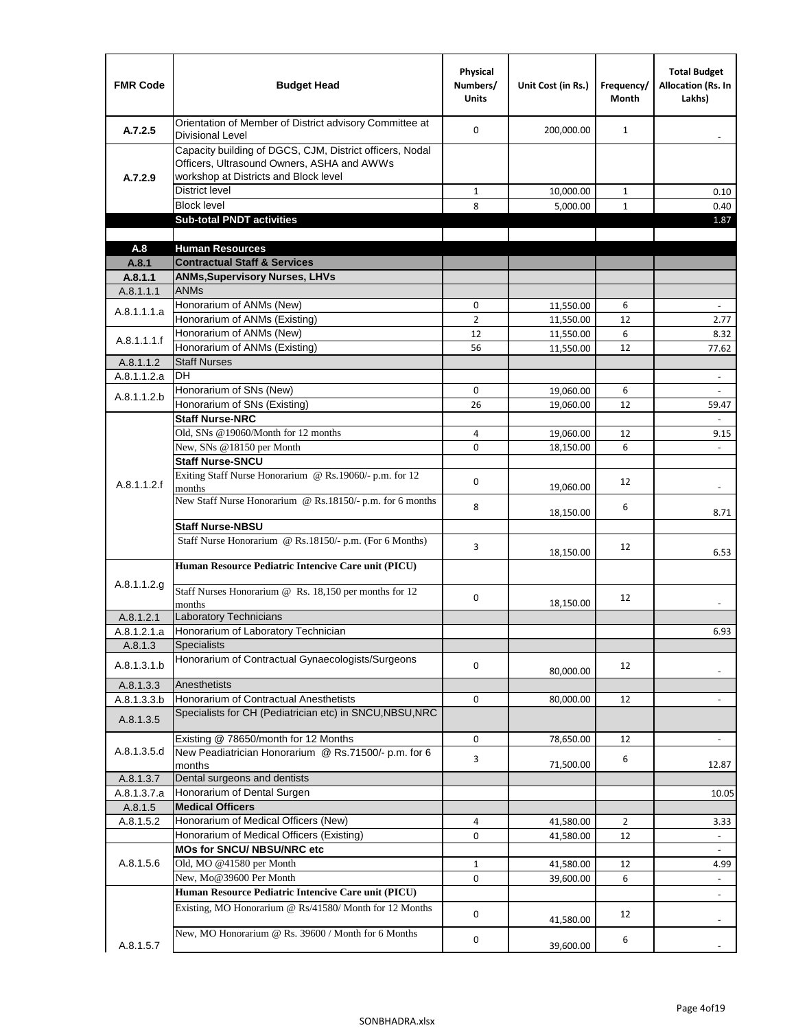| <b>FMR Code</b>      | <b>Budget Head</b>                                                                                                                              | Physical<br>Numbers/<br><b>Units</b> | Unit Cost (in Rs.)     | Frequency/<br><b>Month</b> | <b>Total Budget</b><br><b>Allocation (Rs. In</b><br>Lakhs) |
|----------------------|-------------------------------------------------------------------------------------------------------------------------------------------------|--------------------------------------|------------------------|----------------------------|------------------------------------------------------------|
| A.7.2.5              | Orientation of Member of District advisory Committee at<br><b>Divisional Level</b>                                                              | $\Omega$                             | 200,000.00             | $\mathbf{1}$               | $\overline{\phantom{m}}$                                   |
| A.7.2.9              | Capacity building of DGCS, CJM, District officers, Nodal<br>Officers, Ultrasound Owners, ASHA and AWWs<br>workshop at Districts and Block level |                                      |                        |                            |                                                            |
|                      | <b>District level</b>                                                                                                                           | $\mathbf{1}$                         | 10,000.00              | 1                          | 0.10                                                       |
|                      | <b>Block level</b>                                                                                                                              | 8                                    | 5,000.00               | $\mathbf{1}$               | 0.40                                                       |
|                      | <b>Sub-total PNDT activities</b>                                                                                                                |                                      |                        |                            | 1.87                                                       |
|                      |                                                                                                                                                 |                                      |                        |                            |                                                            |
| A.8                  | <b>Human Resources</b>                                                                                                                          |                                      |                        |                            |                                                            |
| A.8.1                | <b>Contractual Staff &amp; Services</b>                                                                                                         |                                      |                        |                            |                                                            |
| A.8.1.1<br>A.8.1.1.1 | <b>ANMs, Supervisory Nurses, LHVs</b><br><b>ANMs</b>                                                                                            |                                      |                        |                            |                                                            |
|                      | Honorarium of ANMs (New)                                                                                                                        | 0                                    |                        | 6                          | $\blacksquare$                                             |
| A.8.1.1.1.a          | Honorarium of ANMs (Existing)                                                                                                                   | $\overline{2}$                       | 11,550.00<br>11,550.00 | 12                         | 2.77                                                       |
|                      | Honorarium of ANMs (New)                                                                                                                        | 12                                   | 11,550.00              | 6                          | 8.32                                                       |
| A.8.1.1.1.f          | Honorarium of ANMs (Existing)                                                                                                                   | 56                                   | 11,550.00              | 12                         | 77.62                                                      |
| A.8.1.1.2            | <b>Staff Nurses</b>                                                                                                                             |                                      |                        |                            |                                                            |
| A.8.1.1.2.a          | <b>DH</b>                                                                                                                                       |                                      |                        |                            | $\blacksquare$                                             |
|                      | Honorarium of SNs (New)                                                                                                                         | 0                                    | 19,060.00              | 6                          |                                                            |
| A.8.1.1.2.b          | Honorarium of SNs (Existing)                                                                                                                    | 26                                   | 19.060.00              | 12                         | 59.47                                                      |
|                      | <b>Staff Nurse-NRC</b>                                                                                                                          |                                      |                        |                            | $\overline{\phantom{a}}$                                   |
|                      | Old, SNs @19060/Month for 12 months                                                                                                             | 4                                    | 19,060.00              | 12                         | 9.15                                                       |
|                      | New, SNs @18150 per Month                                                                                                                       | 0                                    | 18,150.00              | 6                          |                                                            |
|                      | <b>Staff Nurse-SNCU</b>                                                                                                                         |                                      |                        |                            |                                                            |
| A.8.1.1.2.f          | Exiting Staff Nurse Honorarium @ Rs.19060/- p.m. for 12<br>months                                                                               | $\Omega$                             | 19,060.00              | 12                         | -                                                          |
|                      | New Staff Nurse Honorarium @ Rs.18150/- p.m. for 6 months<br><b>Staff Nurse-NBSU</b>                                                            | 8                                    | 18,150.00              | 6                          | 8.71                                                       |
|                      |                                                                                                                                                 |                                      |                        |                            |                                                            |
|                      | Staff Nurse Honorarium @ Rs.18150/- p.m. (For 6 Months)<br>Human Resource Pediatric Intencive Care unit (PICU)                                  | 3                                    | 18,150.00              | 12                         | 6.53                                                       |
|                      |                                                                                                                                                 |                                      |                        |                            |                                                            |
| A.8.1.1.2.g          | Staff Nurses Honorarium @ Rs. 18,150 per months for 12<br>months                                                                                | 0                                    | 18,150.00              | 12                         |                                                            |
| A.8.1.2.1            | Laboratory Technicians                                                                                                                          |                                      |                        |                            |                                                            |
| A.8.1.2.1.a          | Honorarium of Laboratory Technician                                                                                                             |                                      |                        |                            | 6.93                                                       |
| A.8.1.3              | <b>Specialists</b>                                                                                                                              |                                      |                        |                            |                                                            |
| A.8.1.3.1.b          | Honorarium of Contractual Gynaecologists/Surgeons                                                                                               | $\mathbf 0$                          | 80,000.00              | 12                         |                                                            |
| A.8.1.3.3            | Anesthetists                                                                                                                                    |                                      |                        |                            |                                                            |
| A.8.1.3.3.b          | Honorarium of Contractual Anesthetists<br>Specialists for CH (Pediatrician etc) in SNCU, NBSU, NRC                                              | 0                                    | 80,000.00              | 12                         |                                                            |
| A.8.1.3.5            |                                                                                                                                                 |                                      |                        |                            |                                                            |
|                      | Existing @ 78650/month for 12 Months                                                                                                            | 0                                    | 78,650.00              | 12                         | $\blacksquare$                                             |
| A.8.1.3.5.d          | New Peadiatrician Honorarium @ Rs.71500/- p.m. for 6<br>months                                                                                  | 3                                    | 71,500.00              | 6                          | 12.87                                                      |
| A.8.1.3.7            | Dental surgeons and dentists                                                                                                                    |                                      |                        |                            |                                                            |
| A.8.1.3.7.a          | Honorarium of Dental Surgen                                                                                                                     |                                      |                        |                            | 10.05                                                      |
| A.8.1.5              | <b>Medical Officers</b>                                                                                                                         |                                      |                        |                            |                                                            |
| A.8.1.5.2            | Honorarium of Medical Officers (New)                                                                                                            | 4                                    | 41,580.00              | $\overline{2}$             | 3.33                                                       |
|                      | Honorarium of Medical Officers (Existing)                                                                                                       | 0                                    | 41,580.00              | 12                         |                                                            |
|                      | MOs for SNCU/ NBSU/NRC etc                                                                                                                      |                                      |                        |                            |                                                            |
| A.8.1.5.6            | Old, MO @41580 per Month                                                                                                                        | $\mathbf{1}$                         | 41,580.00              | 12                         | 4.99                                                       |
|                      | New, Mo@39600 Per Month                                                                                                                         | 0                                    | 39,600.00              | 6                          | $\overline{\phantom{a}}$                                   |
|                      | Human Resource Pediatric Intencive Care unit (PICU)                                                                                             |                                      |                        |                            | ä,                                                         |
|                      | Existing, MO Honorarium @ Rs/41580/ Month for 12 Months                                                                                         | $\mathbf 0$                          | 41,580.00              | 12                         |                                                            |
| A.8.1.5.7            | New, MO Honorarium @ Rs. 39600 / Month for 6 Months                                                                                             | 0                                    | 39,600.00              | 6                          |                                                            |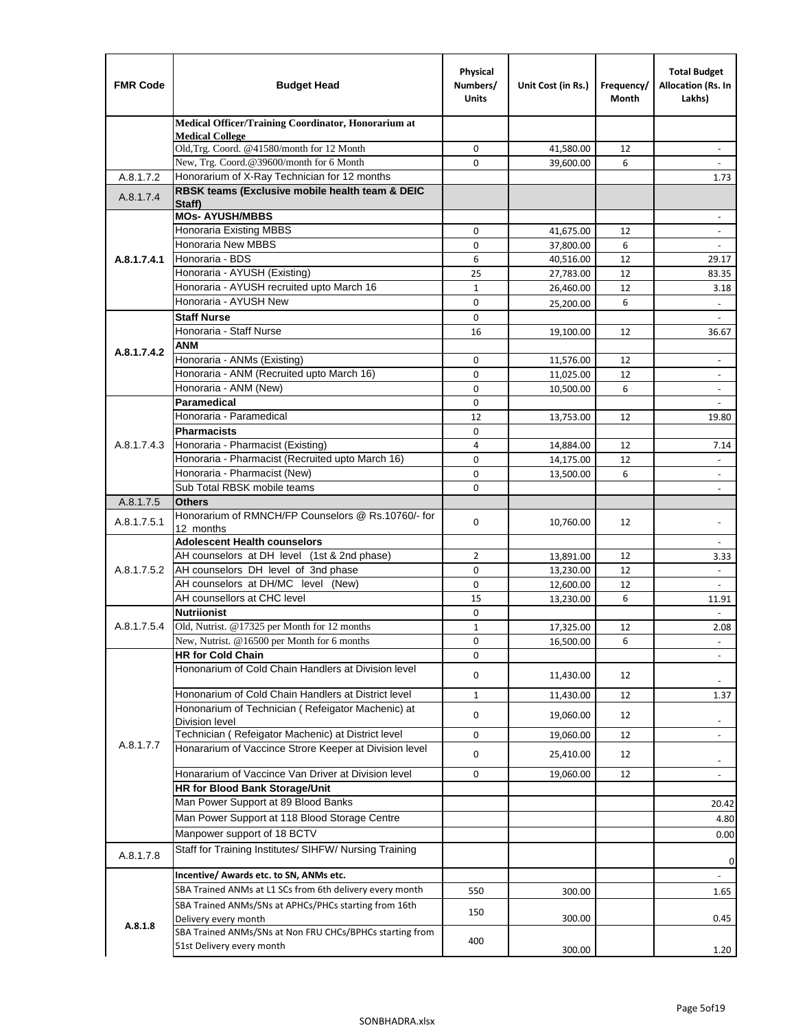| <b>FMR Code</b> | <b>Budget Head</b>                                                   | Physical<br>Numbers/<br><b>Units</b> | Unit Cost (in Rs.)     | Frequency/<br>Month | <b>Total Budget</b><br>Allocation (Rs. In<br>Lakhs) |
|-----------------|----------------------------------------------------------------------|--------------------------------------|------------------------|---------------------|-----------------------------------------------------|
|                 | Medical Officer/Training Coordinator, Honorarium at                  |                                      |                        |                     |                                                     |
|                 | <b>Medical College</b><br>Old, Trg. Coord. @41580/month for 12 Month | 0                                    | 41,580.00              | 12                  |                                                     |
|                 | New, Trg. Coord.@39600/month for 6 Month                             | $\Omega$                             | 39,600.00              | 6                   |                                                     |
| A.8.1.7.2       | Honorarium of X-Ray Technician for 12 months                         |                                      |                        |                     | 1.73                                                |
| A.8.1.7.4       | RBSK teams (Exclusive mobile health team & DEIC                      |                                      |                        |                     |                                                     |
|                 | Staff)<br><b>MOs- AYUSH/MBBS</b>                                     |                                      |                        |                     | $\overline{\phantom{a}}$                            |
|                 | Honoraria Existing MBBS                                              | 0                                    | 41,675.00              | 12                  | $\overline{\phantom{a}}$                            |
|                 | Honoraria New MBBS                                                   | 0                                    | 37,800.00              | 6                   | $\overline{\phantom{a}}$                            |
| A.8.1.7.4.1     | Honoraria - BDS                                                      | 6                                    | 40,516.00              | 12                  | 29.17                                               |
|                 | Honoraria - AYUSH (Existing)                                         | 25                                   | 27,783.00              | 12                  | 83.35                                               |
|                 | Honoraria - AYUSH recruited upto March 16                            | $\mathbf{1}$                         | 26,460.00              | 12                  | 3.18                                                |
|                 | Honoraria - AYUSH New                                                | $\mathbf 0$                          | 25,200.00              | 6                   |                                                     |
|                 | <b>Staff Nurse</b>                                                   | $\mathbf 0$                          |                        |                     | $\omega$                                            |
|                 | Honoraria - Staff Nurse                                              | 16                                   | 19,100.00              | 12                  | 36.67                                               |
| A.8.1.7.4.2     | ANM                                                                  |                                      |                        |                     |                                                     |
|                 | Honoraria - ANMs (Existing)                                          | $\mathbf 0$                          | 11,576.00              | 12                  | $\overline{\phantom{a}}$                            |
|                 | Honoraria - ANM (Recruited upto March 16)                            | 0                                    | 11,025.00              | 12                  | $\blacksquare$                                      |
|                 | Honoraria - ANM (New)                                                | $\mathbf 0$                          | 10,500.00              | 6                   |                                                     |
|                 | <b>Paramedical</b>                                                   | $\mathbf 0$                          |                        |                     | $\blacksquare$                                      |
|                 | Honoraria - Paramedical<br><b>Pharmacists</b>                        | 12                                   | 13,753.00              | 12                  | 19.80                                               |
| A.8.1.7.4.3     | Honoraria - Pharmacist (Existing)                                    | $\mathbf 0$<br>4                     |                        | 12                  |                                                     |
|                 | Honoraria - Pharmacist (Recruited upto March 16)                     | 0                                    | 14,884.00<br>14,175.00 | 12                  | 7.14<br>$\blacksquare$                              |
|                 | Honoraria - Pharmacist (New)                                         | $\mathbf 0$                          | 13,500.00              | 6                   | $\blacksquare$                                      |
|                 | Sub Total RBSK mobile teams                                          | $\Omega$                             |                        |                     | $\overline{\phantom{a}}$                            |
| A.8.1.7.5       | <b>Others</b>                                                        |                                      |                        |                     |                                                     |
| A.8.1.7.5.1     | Honorarium of RMNCH/FP Counselors @ Rs.10760/- for                   | $\mathbf 0$                          |                        | 12                  |                                                     |
|                 | 12 months                                                            |                                      | 10,760.00              |                     |                                                     |
|                 | <b>Adolescent Health counselors</b>                                  |                                      |                        |                     | $\blacksquare$                                      |
|                 | AH counselors at DH level (1st & 2nd phase)                          | 2                                    | 13,891.00              | 12                  | 3.33                                                |
| A.8.1.7.5.2     | AH counselors DH level of 3nd phase                                  | $\mathbf 0$                          | 13,230.00              | 12                  | $\overline{\phantom{a}}$                            |
|                 | AH counselors at DH/MC level (New)<br>AH counsellors at CHC level    | $\mathbf 0$                          | 12,600.00              | 12                  |                                                     |
|                 | <b>Nutriionist</b>                                                   | 15<br>0                              | 13,230.00              | 6                   | 11.91<br>$\blacksquare$                             |
| A.8.1.7.5.4     | Old, Nutrist. @17325 per Month for 12 months                         | 1                                    | 17,325.00              | 12                  | 2.08                                                |
|                 | New, Nutrist. @16500 per Month for 6 months                          | 0                                    | 16,500.00              | 6                   |                                                     |
|                 | <b>HR for Cold Chain</b>                                             | 0                                    |                        |                     |                                                     |
|                 | Hononarium of Cold Chain Handlers at Division level                  | 0                                    | 11,430.00              | 12                  |                                                     |
|                 | Hononarium of Cold Chain Handlers at District level                  | 1                                    | 11,430.00              | 12                  | 1.37                                                |
|                 | Hononarium of Technician (Refeigator Machenic) at                    |                                      |                        |                     |                                                     |
|                 | <b>Division level</b>                                                | 0                                    | 19,060.00              | 12                  | $\overline{\phantom{a}}$                            |
|                 | Technician (Refeigator Machenic) at District level                   | 0                                    | 19,060.00              | 12                  | $\overline{\phantom{a}}$                            |
| A.8.1.7.7       | Honararium of Vaccince Strore Keeper at Division level               | 0                                    | 25,410.00              | 12                  | $\overline{\phantom{a}}$                            |
|                 | Honararium of Vaccince Van Driver at Division level                  | 0                                    | 19,060.00              | 12                  | $\blacksquare$                                      |
|                 | <b>HR for Blood Bank Storage/Unit</b>                                |                                      |                        |                     |                                                     |
|                 | Man Power Support at 89 Blood Banks                                  |                                      |                        |                     | 20.42                                               |
|                 | Man Power Support at 118 Blood Storage Centre                        |                                      |                        |                     | 4.80                                                |
|                 | Manpower support of 18 BCTV                                          |                                      |                        |                     | 0.00                                                |
| A.8.1.7.8       | Staff for Training Institutes/ SIHFW/ Nursing Training               |                                      |                        |                     |                                                     |
|                 | Incentive/ Awards etc. to SN, ANMs etc.                              |                                      |                        |                     | 0                                                   |
|                 | SBA Trained ANMs at L1 SCs from 6th delivery every month             | 550                                  | 300.00                 |                     | 1.65                                                |
|                 | SBA Trained ANMs/SNs at APHCs/PHCs starting from 16th                |                                      |                        |                     |                                                     |
| A.8.1.8         | Delivery every month                                                 | 150                                  | 300.00                 |                     | 0.45                                                |
|                 | SBA Trained ANMs/SNs at Non FRU CHCs/BPHCs starting from             | 400                                  |                        |                     |                                                     |
|                 | 51st Delivery every month                                            |                                      | 300.00                 |                     | 1.20                                                |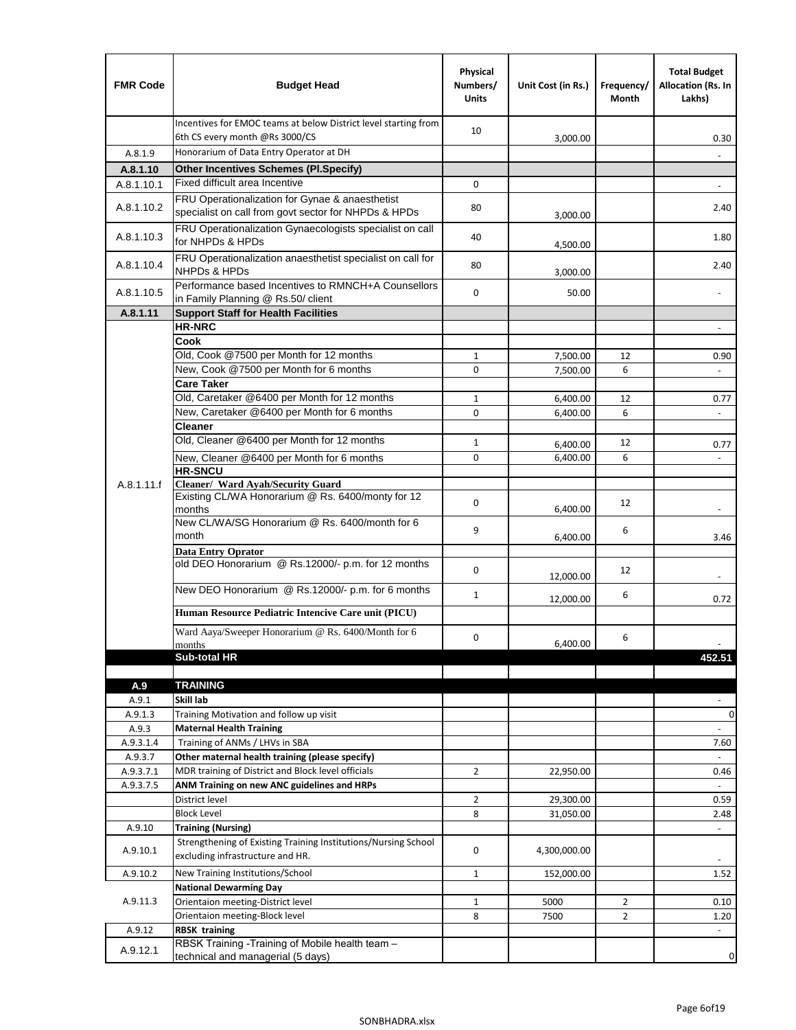| <b>FMR Code</b> | <b>Budget Head</b>                                                                                      | Physical<br>Numbers/<br><b>Units</b> | Unit Cost (in Rs.) | Frequency/<br>Month | <b>Total Budget</b><br>Allocation (Rs. In<br>Lakhs) |
|-----------------|---------------------------------------------------------------------------------------------------------|--------------------------------------|--------------------|---------------------|-----------------------------------------------------|
|                 | Incentives for EMOC teams at below District level starting from<br>6th CS every month @Rs 3000/CS       | 10                                   | 3,000.00           |                     | 0.30                                                |
| A.8.1.9         | Honorarium of Data Entry Operator at DH                                                                 |                                      |                    |                     |                                                     |
| A.8.1.10        | <b>Other Incentives Schemes (PI.Specify)</b>                                                            |                                      |                    |                     |                                                     |
| A.8.1.10.1      | Fixed difficult area Incentive                                                                          | $\mathbf 0$                          |                    |                     |                                                     |
| A.8.1.10.2      | FRU Operationalization for Gynae & anaesthetist<br>specialist on call from govt sector for NHPDs & HPDs | 80                                   | 3,000.00           |                     | 2.40                                                |
| A.8.1.10.3      | FRU Operationalization Gynaecologists specialist on call<br>for NHPDs & HPDs                            | 40                                   | 4,500.00           |                     | 1.80                                                |
| A.8.1.10.4      | FRU Operationalization anaesthetist specialist on call for<br><b>NHPDs &amp; HPDs</b>                   | 80                                   | 3,000.00           |                     | 2.40                                                |
| A.8.1.10.5      | Performance based Incentives to RMNCH+A Counsellors<br>in Family Planning @ Rs.50/ client               | $\mathbf 0$                          | 50.00              |                     | $\overline{\phantom{m}}$                            |
| A.8.1.11        | <b>Support Staff for Health Facilities</b>                                                              |                                      |                    |                     |                                                     |
|                 | <b>HR-NRC</b>                                                                                           |                                      |                    |                     | $\blacksquare$                                      |
|                 | Cook                                                                                                    |                                      |                    |                     |                                                     |
|                 | Old, Cook @7500 per Month for 12 months<br>New, Cook @7500 per Month for 6 months                       | $\mathbf{1}$                         | 7,500.00           | 12                  | 0.90                                                |
|                 | <b>Care Taker</b>                                                                                       | 0                                    | 7,500.00           | 6                   | $\Box$                                              |
|                 | Old, Caretaker @6400 per Month for 12 months                                                            | $\mathbf{1}$                         | 6,400.00           | 12                  | 0.77                                                |
|                 | New, Caretaker @6400 per Month for 6 months                                                             | 0                                    | 6,400.00           | 6                   | ÷,                                                  |
|                 | <b>Cleaner</b>                                                                                          |                                      |                    |                     |                                                     |
|                 | Old, Cleaner @6400 per Month for 12 months                                                              | $\mathbf{1}$                         | 6,400.00           | 12                  | 0.77                                                |
|                 | New, Cleaner @6400 per Month for 6 months                                                               | $\mathbf 0$                          | 6,400.00           | 6                   |                                                     |
|                 | <b>HR-SNCU</b>                                                                                          |                                      |                    |                     |                                                     |
| A.8.1.11.f      | Cleaner/ Ward Ayah/Security Guard                                                                       |                                      |                    |                     |                                                     |
|                 | Existing CL/WA Honorarium @ Rs. 6400/monty for 12<br>months                                             | $\mathbf 0$                          | 6,400.00           | 12                  |                                                     |
|                 | New CL/WA/SG Honorarium @ Rs. 6400/month for 6<br>month                                                 | 9                                    | 6,400.00           | 6                   | 3.46                                                |
|                 | <b>Data Entry Oprator</b><br>old DEO Honorarium @ Rs.12000/- p.m. for 12 months                         |                                      |                    |                     |                                                     |
|                 | New DEO Honorarium @ Rs.12000/- p.m. for 6 months                                                       | $\mathbf 0$                          | 12,000.00          | 12                  |                                                     |
|                 |                                                                                                         | $\mathbf{1}$                         | 12,000.00          | 6                   | 0.72                                                |
|                 | Human Resource Pediatric Intencive Care unit (PICU)                                                     |                                      |                    |                     |                                                     |
|                 | Ward Aaya/Sweeper Honorarium @ Rs. 6400/Month for 6                                                     | $\mathbf 0$                          |                    |                     |                                                     |
|                 | months                                                                                                  |                                      | 6,400.00           | 6                   |                                                     |
|                 | Sub-total HR                                                                                            |                                      |                    |                     | 452.51                                              |
|                 |                                                                                                         |                                      |                    |                     |                                                     |
| A.9<br>A.9.1    | <b>TRAINING</b><br>Skill lab                                                                            |                                      |                    |                     |                                                     |
| A.9.1.3         | Training Motivation and follow up visit                                                                 |                                      |                    |                     | 0                                                   |
| A.9.3           | <b>Maternal Health Training</b>                                                                         |                                      |                    |                     |                                                     |
| A.9.3.1.4       | Training of ANMs / LHVs in SBA                                                                          |                                      |                    |                     | 7.60                                                |
| A.9.3.7         | Other maternal health training (please specify)                                                         |                                      |                    |                     |                                                     |
| A.9.3.7.1       | MDR training of District and Block level officials                                                      | $\overline{2}$                       | 22,950.00          |                     | 0.46                                                |
| A.9.3.7.5       | ANM Training on new ANC guidelines and HRPs                                                             |                                      |                    |                     |                                                     |
|                 | District level                                                                                          | $\overline{2}$                       | 29,300.00          |                     | 0.59                                                |
|                 | <b>Block Level</b>                                                                                      | 8                                    | 31,050.00          |                     | 2.48                                                |
| A.9.10          | <b>Training (Nursing)</b>                                                                               |                                      |                    |                     | $\blacksquare$                                      |
| A.9.10.1        | Strengthening of Existing Training Institutions/Nursing School<br>excluding infrastructure and HR.      | 0                                    | 4,300,000.00       |                     |                                                     |
| A.9.10.2        | New Training Institutions/School                                                                        | $\mathbf{1}$                         | 152,000.00         |                     | 1.52                                                |
|                 | <b>National Dewarming Day</b>                                                                           |                                      |                    |                     |                                                     |
| A.9.11.3        | Orientaion meeting-District level                                                                       | $\mathbf 1$                          | 5000               | $\overline{2}$      | 0.10                                                |
|                 | Orientaion meeting-Block level                                                                          | 8                                    | 7500               | $\overline{2}$      | 1.20                                                |
| A.9.12          | <b>RBSK training</b>                                                                                    |                                      |                    |                     |                                                     |
| A.9.12.1        | RBSK Training -Training of Mobile health team -<br>technical and managerial (5 days)                    |                                      |                    |                     | 0                                                   |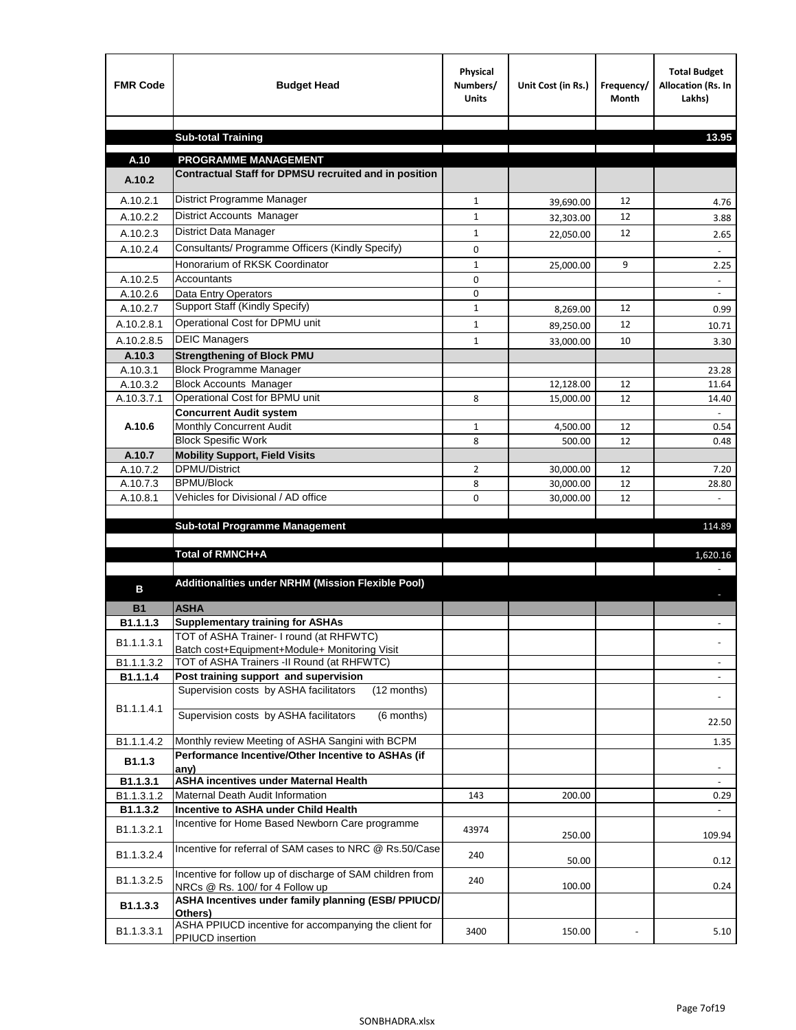| <b>FMR Code</b>       | <b>Budget Head</b>                                                                           | Physical<br>Numbers/<br><b>Units</b> | Unit Cost (in Rs.) | Frequency/<br>Month | <b>Total Budget</b><br>Allocation (Rs. In<br>Lakhs) |
|-----------------------|----------------------------------------------------------------------------------------------|--------------------------------------|--------------------|---------------------|-----------------------------------------------------|
|                       |                                                                                              |                                      |                    |                     |                                                     |
|                       | <b>Sub-total Training</b>                                                                    |                                      |                    |                     | 13.95                                               |
| A.10                  | <b>PROGRAMME MANAGEMENT</b>                                                                  |                                      |                    |                     |                                                     |
| A.10.2                | Contractual Staff for DPMSU recruited and in position                                        |                                      |                    |                     |                                                     |
| A.10.2.1              | District Programme Manager                                                                   | $\mathbf{1}$                         | 39,690.00          | 12                  | 4.76                                                |
| A.10.2.2              | <b>District Accounts Manager</b>                                                             | $\mathbf{1}$                         | 32,303.00          | 12                  | 3.88                                                |
| A.10.2.3              | District Data Manager                                                                        | $\mathbf{1}$                         | 22,050.00          | 12                  | 2.65                                                |
| A.10.2.4              | Consultants/ Programme Officers (Kindly Specify)                                             | $\mathbf 0$                          |                    |                     |                                                     |
|                       | Honorarium of RKSK Coordinator                                                               | $\mathbf{1}$                         | 25,000.00          | 9                   | 2.25                                                |
| A.10.2.5              | Accountants                                                                                  | 0                                    |                    |                     |                                                     |
| A.10.2.6              | Data Entry Operators                                                                         | 0                                    |                    |                     | $\blacksquare$                                      |
| A.10.2.7              | Support Staff (Kindly Specify)                                                               | $\mathbf{1}$                         | 8,269.00           | 12                  | 0.99                                                |
| A.10.2.8.1            | Operational Cost for DPMU unit                                                               | $\mathbf{1}$                         | 89,250.00          | 12                  | 10.71                                               |
| A.10.2.8.5            | <b>DEIC Managers</b>                                                                         | $\mathbf{1}$                         | 33,000.00          | 10                  | 3.30                                                |
| A.10.3                | <b>Strengthening of Block PMU</b>                                                            |                                      |                    |                     |                                                     |
| A.10.3.1              | <b>Block Programme Manager</b>                                                               |                                      |                    |                     | 23.28                                               |
| A.10.3.2              | <b>Block Accounts Manager</b>                                                                |                                      | 12,128.00          | 12                  | 11.64                                               |
| A.10.3.7.1            | Operational Cost for BPMU unit<br><b>Concurrent Audit system</b>                             | 8                                    | 15,000.00          | 12                  | 14.40                                               |
| A.10.6                | Monthly Concurrent Audit                                                                     | $\mathbf{1}$                         | 4,500.00           | 12                  | 0.54                                                |
|                       | <b>Block Spesific Work</b>                                                                   | 8                                    | 500.00             | 12                  | 0.48                                                |
| A.10.7                | <b>Mobility Support, Field Visits</b>                                                        |                                      |                    |                     |                                                     |
| A.10.7.2              | <b>DPMU/District</b>                                                                         | 2                                    | 30,000.00          | 12                  | 7.20                                                |
| A.10.7.3              | <b>BPMU/Block</b>                                                                            | 8                                    | 30,000.00          | 12                  | 28.80                                               |
| A.10.8.1              | Vehicles for Divisional / AD office                                                          | 0                                    | 30,000.00          | 12                  | $\mathbf{r}$                                        |
|                       | <b>Sub-total Programme Management</b>                                                        |                                      |                    |                     |                                                     |
|                       |                                                                                              |                                      |                    |                     | 114.89                                              |
|                       | Total of RMNCH+A                                                                             |                                      |                    |                     | 1,620.16                                            |
|                       |                                                                                              |                                      |                    |                     |                                                     |
| в                     | Additionalities under NRHM (Mission Flexible Pool)                                           |                                      |                    |                     |                                                     |
|                       |                                                                                              |                                      |                    |                     |                                                     |
| <b>B1</b><br>B1.1.1.3 | <b>ASHA</b><br><b>Supplementary training for ASHAs</b>                                       |                                      |                    |                     |                                                     |
|                       | TOT of ASHA Trainer- I round (at RHFWTC)                                                     |                                      |                    |                     |                                                     |
| B1.1.1.3.1            | Batch cost+Equipment+Module+ Monitoring Visit                                                |                                      |                    |                     |                                                     |
| B1.1.1.3.2            | TOT of ASHA Trainers -II Round (at RHFWTC)                                                   |                                      |                    |                     |                                                     |
| B1.1.1.4              | Post training support and supervision                                                        |                                      |                    |                     | $\overline{\phantom{a}}$                            |
|                       | Supervision costs by ASHA facilitators<br>(12 months)                                        |                                      |                    |                     |                                                     |
| B1.1.1.4.1            | Supervision costs by ASHA facilitators<br>(6 months)                                         |                                      |                    |                     |                                                     |
|                       |                                                                                              |                                      |                    |                     | 22.50                                               |
| B1.1.1.4.2            | Monthly review Meeting of ASHA Sangini with BCPM                                             |                                      |                    |                     | 1.35                                                |
| B <sub>1.1.3</sub>    | Performance Incentive/Other Incentive to ASHAs (if                                           |                                      |                    |                     |                                                     |
| B1.1.3.1              | any)<br><b>ASHA incentives under Maternal Health</b>                                         |                                      |                    |                     |                                                     |
| B1.1.3.1.2            | Maternal Death Audit Information                                                             | 143                                  | 200.00             |                     | 0.29                                                |
| B1.1.3.2              | Incentive to ASHA under Child Health                                                         |                                      |                    |                     | $\sim$                                              |
| B1.1.3.2.1            | Incentive for Home Based Newborn Care programme                                              | 43974                                | 250.00             |                     | 109.94                                              |
| B1.1.3.2.4            | Incentive for referral of SAM cases to NRC @ Rs.50/Case                                      | 240                                  | 50.00              |                     | 0.12                                                |
| B1.1.3.2.5            | Incentive for follow up of discharge of SAM children from<br>NRCs @ Rs. 100/ for 4 Follow up | 240                                  | 100.00             |                     | 0.24                                                |
| B1.1.3.3              | ASHA Incentives under family planning (ESB/ PPIUCD/<br>Others)                               |                                      |                    |                     |                                                     |
| B1.1.3.3.1            | ASHA PPIUCD incentive for accompanying the client for<br>PPIUCD insertion                    | 3400                                 | 150.00             |                     | 5.10                                                |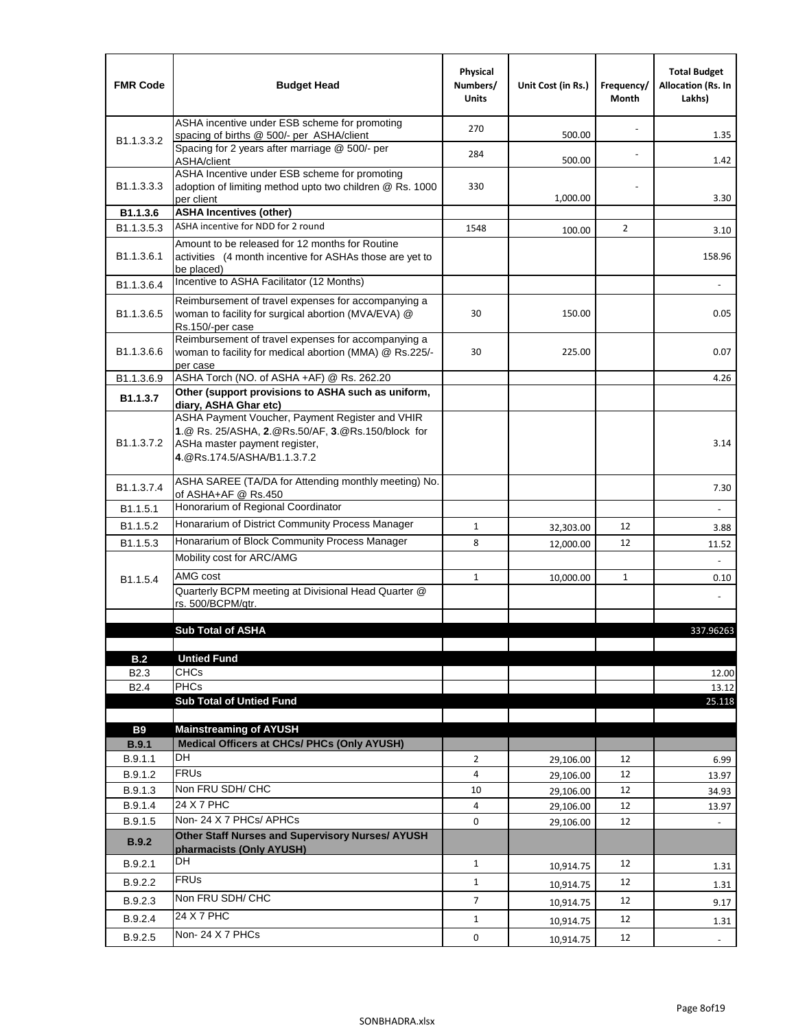| <b>FMR Code</b>            | <b>Budget Head</b>                                                                                                                                                    | Physical<br>Numbers/<br><b>Units</b> | Unit Cost (in Rs.) | Frequency/<br>Month | <b>Total Budget</b><br><b>Allocation (Rs. In</b><br>Lakhs) |
|----------------------------|-----------------------------------------------------------------------------------------------------------------------------------------------------------------------|--------------------------------------|--------------------|---------------------|------------------------------------------------------------|
|                            | ASHA incentive under ESB scheme for promoting<br>spacing of births @ 500/- per ASHA/client                                                                            | 270                                  | 500.00             |                     | 1.35                                                       |
| B <sub>1.1</sub> , 3, 3, 2 | Spacing for 2 years after marriage @ 500/- per<br>ASHA/client                                                                                                         | 284                                  | 500.00             |                     | 1.42                                                       |
| B1.1.3.3.3                 | ASHA Incentive under ESB scheme for promoting<br>adoption of limiting method upto two children @ Rs. 1000<br>per client                                               | 330                                  | 1,000.00           |                     | 3.30                                                       |
| B1.1.3.6                   | <b>ASHA Incentives (other)</b>                                                                                                                                        |                                      |                    |                     |                                                            |
| B <sub>1.1</sub> , 3, 5, 3 | ASHA incentive for NDD for 2 round                                                                                                                                    | 1548                                 | 100.00             | $\overline{2}$      | 3.10                                                       |
| B <sub>1.1</sub> .3.6.1    | Amount to be released for 12 months for Routine<br>activities (4 month incentive for ASHAs those are yet to<br>be placed)                                             |                                      |                    |                     | 158.96                                                     |
| B1.1.3.6.4                 | Incentive to ASHA Facilitator (12 Months)                                                                                                                             |                                      |                    |                     | ä,                                                         |
| B <sub>1.1</sub> .3.6.5    | Reimbursement of travel expenses for accompanying a<br>woman to facility for surgical abortion (MVA/EVA) @<br>Rs.150/-per case                                        | 30                                   | 150.00             |                     | 0.05                                                       |
| B <sub>1.1</sub> .3.6.6    | Reimbursement of travel expenses for accompanying a<br>woman to facility for medical abortion (MMA) @ Rs.225/-<br>per case                                            | 30                                   | 225.00             |                     | 0.07                                                       |
| B1.1.3.6.9                 | ASHA Torch (NO. of ASHA +AF) @ Rs. 262.20                                                                                                                             |                                      |                    |                     | 4.26                                                       |
| B1.1.3.7                   | Other (support provisions to ASHA such as uniform,<br>diary, ASHA Ghar etc)                                                                                           |                                      |                    |                     |                                                            |
| B <sub>1.1</sub> .3.7.2    | ASHA Payment Voucher, Payment Register and VHIR<br>1.@ Rs. 25/ASHA, 2.@Rs.50/AF, 3.@Rs.150/block for<br>ASHa master payment register,<br>4. @Rs.174.5/ASHA/B1.1.3.7.2 |                                      |                    |                     | 3.14                                                       |
| B <sub>1.1</sub> , 3.7.4   | ASHA SAREE (TA/DA for Attending monthly meeting) No.<br>of ASHA+AF @ Rs.450                                                                                           |                                      |                    |                     | 7.30                                                       |
| B1.1.5.1                   | Honorarium of Regional Coordinator                                                                                                                                    |                                      |                    |                     |                                                            |
| B <sub>1.1.5.2</sub>       | Honararium of District Community Process Manager                                                                                                                      | $\mathbf{1}$                         | 32,303.00          | 12                  | 3.88                                                       |
| B1.1.5.3                   | Honararium of Block Community Process Manager                                                                                                                         | 8                                    | 12,000.00          | 12                  | 11.52                                                      |
|                            | Mobility cost for ARC/AMG                                                                                                                                             |                                      |                    |                     |                                                            |
| B <sub>1.1.5.4</sub>       | AMG cost                                                                                                                                                              | $\mathbf{1}$                         | 10,000.00          | $\mathbf{1}$        | 0.10                                                       |
|                            | Quarterly BCPM meeting at Divisional Head Quarter @                                                                                                                   |                                      |                    |                     |                                                            |
|                            | rs. 500/BCPM/qtr.                                                                                                                                                     |                                      |                    |                     |                                                            |
|                            | <b>Sub Total of ASHA</b>                                                                                                                                              |                                      |                    |                     | 337.96263                                                  |
|                            |                                                                                                                                                                       |                                      |                    |                     |                                                            |
| B.2                        | <b>Untied Fund</b>                                                                                                                                                    |                                      |                    |                     |                                                            |
| B <sub>2.3</sub>           | <b>CHCs</b><br><b>PHCs</b>                                                                                                                                            |                                      |                    |                     | 12.00                                                      |
| B <sub>2.4</sub>           | <b>Sub Total of Untied Fund</b>                                                                                                                                       |                                      |                    |                     | 13.12<br>25.118                                            |
|                            |                                                                                                                                                                       |                                      |                    |                     |                                                            |
| <b>B9</b>                  | <b>Mainstreaming of AYUSH</b>                                                                                                                                         |                                      |                    |                     |                                                            |
| B.9.1                      | Medical Officers at CHCs/ PHCs (Only AYUSH)                                                                                                                           |                                      |                    |                     |                                                            |
| B.9.1.1                    | DH                                                                                                                                                                    | $\overline{2}$                       | 29,106.00          | 12                  | 6.99                                                       |
| B.9.1.2                    | <b>FRUs</b>                                                                                                                                                           | 4                                    | 29,106.00          | 12                  | 13.97                                                      |
| B.9.1.3                    | Non FRU SDH/ CHC                                                                                                                                                      | 10                                   | 29,106.00          | 12                  | 34.93                                                      |
| B.9.1.4                    | 24 X 7 PHC                                                                                                                                                            | 4                                    | 29,106.00          | 12                  | 13.97                                                      |
| B.9.1.5                    | Non-24 X 7 PHCs/ APHCs                                                                                                                                                | 0                                    | 29,106.00          | 12                  |                                                            |
| B.9.2                      | Other Staff Nurses and Supervisory Nurses/ AYUSH<br>pharmacists (Only AYUSH)                                                                                          |                                      |                    |                     |                                                            |
| B.9.2.1                    | DH                                                                                                                                                                    | $\mathbf{1}$                         | 10,914.75          | 12                  | 1.31                                                       |
| B.9.2.2                    | <b>FRUs</b>                                                                                                                                                           | $\mathbf{1}$                         | 10,914.75          | 12                  | 1.31                                                       |
| B.9.2.3                    | Non FRU SDH/ CHC                                                                                                                                                      | 7                                    | 10,914.75          | 12                  | 9.17                                                       |
| B.9.2.4                    | 24 X 7 PHC                                                                                                                                                            | $\mathbf{1}$                         | 10,914.75          | 12                  | 1.31                                                       |
| B.9.2.5                    | Non-24 X 7 PHCs                                                                                                                                                       | 0                                    | 10,914.75          | 12                  | $\sim$                                                     |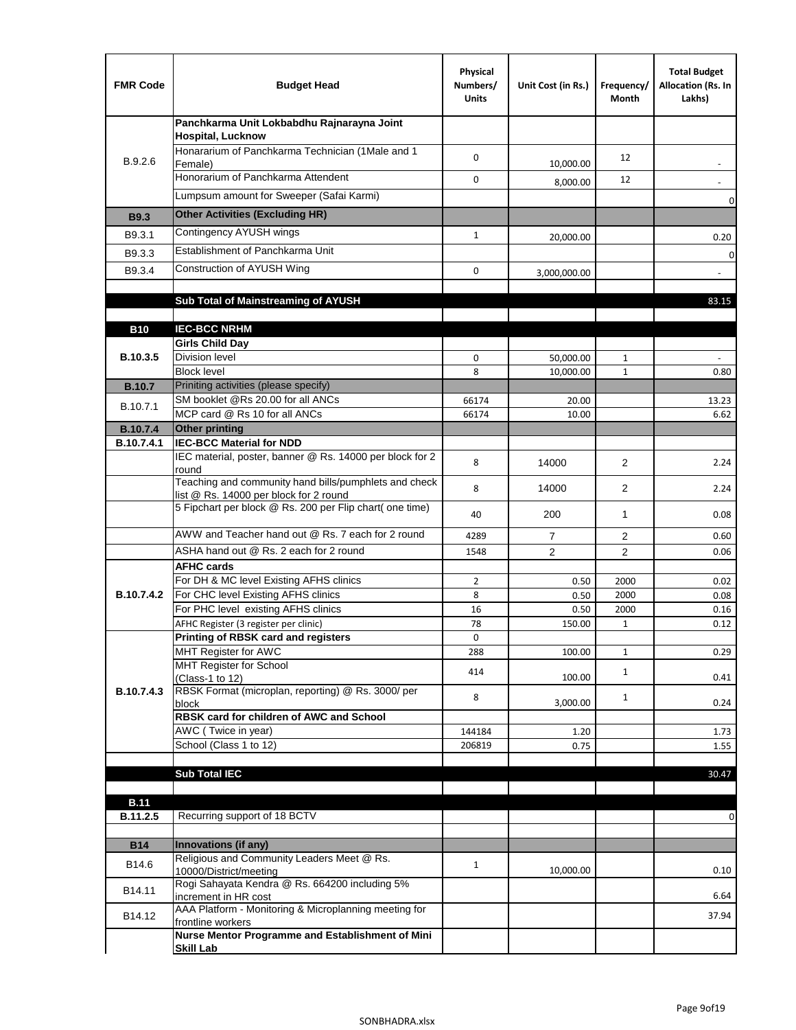| <b>FMR Code</b>               | <b>Budget Head</b>                                                                              | Physical<br>Numbers/<br><b>Units</b> | Unit Cost (in Rs.) | Frequency/<br>Month  | <b>Total Budget</b><br>Allocation (Rs. In<br>Lakhs) |
|-------------------------------|-------------------------------------------------------------------------------------------------|--------------------------------------|--------------------|----------------------|-----------------------------------------------------|
|                               | Panchkarma Unit Lokbabdhu Rajnarayna Joint<br><b>Hospital, Lucknow</b>                          |                                      |                    |                      |                                                     |
| B.9.2.6                       | Honararium of Panchkarma Technician (1Male and 1<br>Female)                                     | 0                                    | 10,000.00          | 12                   |                                                     |
|                               | Honorarium of Panchkarma Attendent                                                              | 0                                    | 8,000.00           | 12                   |                                                     |
|                               | Lumpsum amount for Sweeper (Safai Karmi)                                                        |                                      |                    |                      | 0                                                   |
| <b>B9.3</b>                   | <b>Other Activities (Excluding HR)</b>                                                          |                                      |                    |                      |                                                     |
| B9.3.1                        | Contingency AYUSH wings                                                                         | $\mathbf{1}$                         | 20,000.00          |                      | 0.20                                                |
| B9.3.3                        | Establishment of Panchkarma Unit                                                                |                                      |                    |                      | $\mathbf 0$                                         |
| B9.3.4                        | Construction of AYUSH Wing                                                                      | 0                                    | 3,000,000.00       |                      |                                                     |
|                               |                                                                                                 |                                      |                    |                      |                                                     |
|                               | Sub Total of Mainstreaming of AYUSH                                                             |                                      |                    |                      | 83.15                                               |
|                               |                                                                                                 |                                      |                    |                      |                                                     |
| <b>B10</b>                    | <b>IEC-BCC NRHM</b>                                                                             |                                      |                    |                      |                                                     |
| B.10.3.5                      | <b>Girls Child Day</b><br><b>Division level</b>                                                 | 0                                    | 50,000.00          | 1                    |                                                     |
|                               | <b>Block level</b>                                                                              | 8                                    | 10,000.00          | $\mathbf{1}$         | 0.80                                                |
| <b>B.10.7</b>                 | Priniting activities (please specify)                                                           |                                      |                    |                      |                                                     |
| B.10.7.1                      | SM booklet @Rs 20.00 for all ANCs                                                               | 66174                                | 20.00              |                      | 13.23                                               |
|                               | MCP card @ Rs 10 for all ANCs                                                                   | 66174                                | 10.00              |                      | 6.62                                                |
| <b>B.10.7.4</b><br>B.10.7.4.1 | <b>Other printing</b><br><b>IEC-BCC Material for NDD</b>                                        |                                      |                    |                      |                                                     |
|                               | IEC material, poster, banner @ Rs. 14000 per block for 2<br>round                               | 8                                    | 14000              | $\overline{2}$       | 2.24                                                |
|                               | Teaching and community hand bills/pumphlets and check<br>list @ Rs. 14000 per block for 2 round | 8                                    | 14000              | $\overline{2}$       | 2.24                                                |
|                               | 5 Fipchart per block @ Rs. 200 per Flip chart( one time)                                        | 40                                   | 200                | 1                    | 0.08                                                |
|                               | AWW and Teacher hand out @ Rs. 7 each for 2 round                                               | 4289                                 | $\overline{7}$     | 2                    | 0.60                                                |
|                               | ASHA hand out @ Rs. 2 each for 2 round                                                          | 1548                                 | $\overline{2}$     | 2                    | 0.06                                                |
|                               | <b>AFHC cards</b>                                                                               |                                      |                    |                      |                                                     |
|                               | For DH & MC level Existing AFHS clinics                                                         | $\overline{2}$                       | 0.50               | 2000                 | 0.02                                                |
| <b>B.10.7.4.2</b>             | For CHC level Existing AFHS clinics<br>For PHC level existing AFHS clinics                      | 8                                    | 0.50               | 2000                 | 0.08                                                |
|                               | AFHC Register (3 register per clinic)                                                           | 16<br>78                             | 0.50<br>150.00     | 2000<br>$\mathbf{1}$ | 0.16<br>0.12                                        |
|                               | Printing of RBSK card and registers                                                             | 0                                    |                    |                      |                                                     |
|                               | MHT Register for AWC                                                                            | 288                                  | 100.00             | $\mathbf{1}$         | 0.29                                                |
|                               | MHT Register for School                                                                         | 414                                  |                    | $\mathbf{1}$         |                                                     |
| B.10.7.4.3                    | (Class-1 to 12)<br>RBSK Format (microplan, reporting) @ Rs. 3000/ per                           |                                      | 100.00             |                      | 0.41                                                |
|                               | block                                                                                           | 8                                    | 3,000.00           | $\mathbf{1}$         | 0.24                                                |
|                               | RBSK card for children of AWC and School                                                        |                                      |                    |                      |                                                     |
|                               | AWC (Twice in year)<br>School (Class 1 to 12)                                                   | 144184                               | 1.20               |                      | 1.73                                                |
|                               |                                                                                                 | 206819                               | 0.75               |                      | 1.55                                                |
|                               | <b>Sub Total IEC</b>                                                                            |                                      |                    |                      | 30.47                                               |
|                               |                                                                                                 |                                      |                    |                      |                                                     |
| <b>B.11</b>                   |                                                                                                 |                                      |                    |                      |                                                     |
| B.11.2.5                      | Recurring support of 18 BCTV                                                                    |                                      |                    |                      | 0                                                   |
| <b>B14</b>                    | Innovations (if any)                                                                            |                                      |                    |                      |                                                     |
|                               | Religious and Community Leaders Meet @ Rs.                                                      |                                      |                    |                      |                                                     |
| B14.6                         | 10000/District/meeting                                                                          | $\mathbf{1}$                         | 10,000.00          |                      | 0.10                                                |
| B14.11                        | Rogi Sahayata Kendra @ Rs. 664200 including 5%<br>increment in HR cost                          |                                      |                    |                      | 6.64                                                |
| B14.12                        | AAA Platform - Monitoring & Microplanning meeting for<br>frontline workers                      |                                      |                    |                      | 37.94                                               |
|                               | Nurse Mentor Programme and Establishment of Mini                                                |                                      |                    |                      |                                                     |
|                               | <b>Skill Lab</b>                                                                                |                                      |                    |                      |                                                     |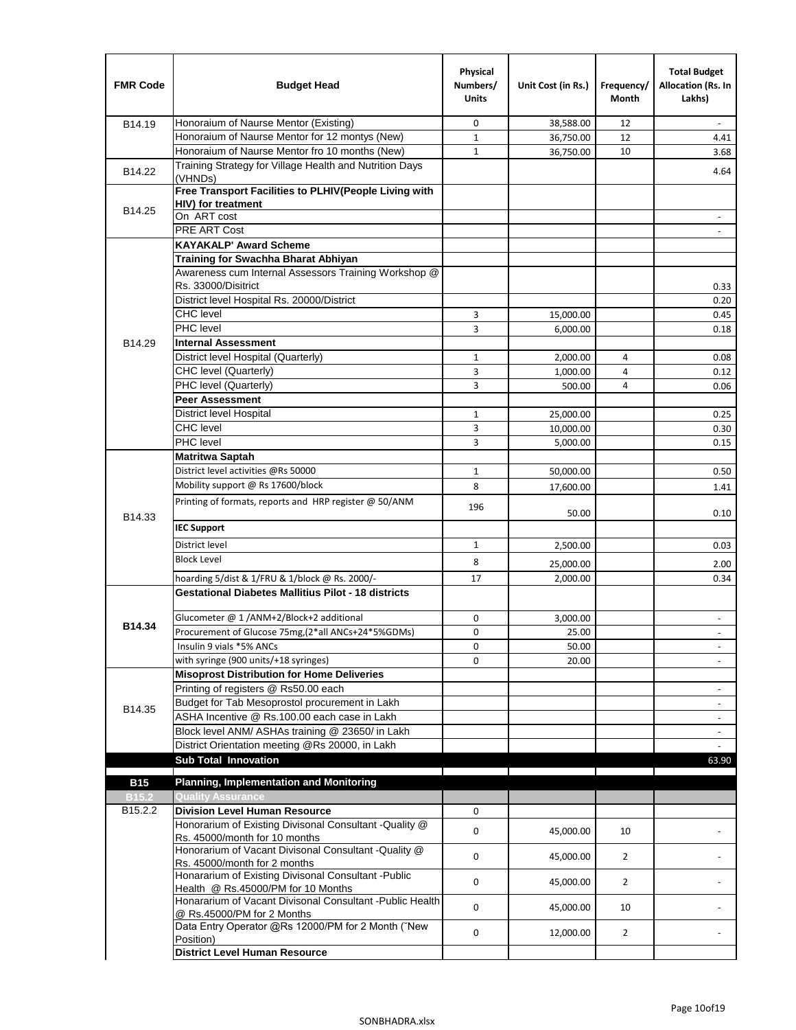| <b>FMR Code</b> | <b>Budget Head</b>                                                                         | Physical<br>Numbers/<br><b>Units</b> | Unit Cost (in Rs.) | Frequency/<br>Month | <b>Total Budget</b><br>Allocation (Rs. In<br>Lakhs) |
|-----------------|--------------------------------------------------------------------------------------------|--------------------------------------|--------------------|---------------------|-----------------------------------------------------|
| B14.19          | Honoraium of Naurse Mentor (Existing)                                                      | 0                                    | 38,588.00          | 12                  |                                                     |
|                 | Honoraium of Naurse Mentor for 12 montys (New)                                             | $1\,$                                | 36,750.00          | 12                  | 4.41                                                |
|                 | Honoraium of Naurse Mentor fro 10 months (New)                                             | $\mathbf{1}$                         | 36,750.00          | 10                  | 3.68                                                |
| B14.22          | Training Strategy for Village Health and Nutrition Days<br>(VHNDs)                         |                                      |                    |                     | 4.64                                                |
|                 | Free Transport Facilities to PLHIV(People Living with                                      |                                      |                    |                     |                                                     |
| B14.25          | <b>HIV)</b> for treatment                                                                  |                                      |                    |                     |                                                     |
|                 | On ART cost                                                                                |                                      |                    |                     |                                                     |
|                 | PRE ART Cost                                                                               |                                      |                    |                     |                                                     |
|                 | <b>KAYAKALP' Award Scheme</b>                                                              |                                      |                    |                     |                                                     |
|                 | Training for Swachha Bharat Abhiyan                                                        |                                      |                    |                     |                                                     |
|                 | Awareness cum Internal Assessors Training Workshop @                                       |                                      |                    |                     |                                                     |
|                 | Rs. 33000/Disitrict                                                                        |                                      |                    |                     | 0.33                                                |
|                 | District level Hospital Rs. 20000/District                                                 |                                      |                    |                     | 0.20                                                |
|                 | <b>CHC</b> level<br>PHC level                                                              | 3                                    | 15,000.00          |                     | 0.45                                                |
|                 |                                                                                            | 3                                    | 6,000.00           |                     | 0.18                                                |
| B14.29          | <b>Internal Assessment</b>                                                                 |                                      |                    |                     |                                                     |
|                 | District level Hospital (Quarterly)                                                        | $\mathbf{1}$                         | 2,000.00           | 4                   | 0.08                                                |
|                 | CHC level (Quarterly)                                                                      | 3                                    | 1,000.00           | 4                   | 0.12                                                |
|                 | PHC level (Quarterly)                                                                      | 3                                    | 500.00             | 4                   | 0.06                                                |
|                 | <b>Peer Assessment</b>                                                                     |                                      |                    |                     |                                                     |
|                 | <b>District level Hospital</b><br><b>CHC</b> level                                         | $\mathbf{1}$                         | 25,000.00          |                     | 0.25                                                |
|                 | PHC level                                                                                  | 3<br>3                               | 10,000.00          |                     | 0.30                                                |
|                 | <b>Matritwa Saptah</b>                                                                     |                                      | 5,000.00           |                     | 0.15                                                |
|                 | District level activities @Rs 50000                                                        |                                      |                    |                     | 0.50                                                |
|                 | Mobility support @ Rs 17600/block                                                          | $\mathbf{1}$                         | 50,000.00          |                     |                                                     |
|                 |                                                                                            | 8                                    | 17,600.00          |                     | 1.41                                                |
| B14.33          | Printing of formats, reports and HRP register @ 50/ANM                                     | 196                                  | 50.00              |                     | 0.10                                                |
|                 | <b>IEC Support</b>                                                                         |                                      |                    |                     |                                                     |
|                 | District level                                                                             | $\mathbf{1}$                         | 2,500.00           |                     | 0.03                                                |
|                 | <b>Block Level</b>                                                                         | 8                                    | 25,000.00          |                     | 2.00                                                |
|                 | hoarding 5/dist & 1/FRU & 1/block @ Rs. 2000/-                                             | 17                                   | 2,000.00           |                     | 0.34                                                |
|                 | <b>Gestational Diabetes Mallitius Pilot - 18 districts</b>                                 |                                      |                    |                     |                                                     |
|                 | Glucometer @ 1 /ANM+2/Block+2 additional                                                   | 0                                    | 3,000.00           |                     |                                                     |
| B14.34          | Procurement of Glucose 75mg, (2*all ANCs+24*5%GDMs)                                        | $\mathbf 0$                          | 25.00              |                     |                                                     |
|                 | Insulin 9 vials *5% ANCs                                                                   | 0                                    | 50.00              |                     | $\overline{\phantom{a}}$                            |
|                 | with syringe (900 units/+18 syringes)                                                      | 0                                    | 20.00              |                     |                                                     |
|                 | <b>Misoprost Distribution for Home Deliveries</b>                                          |                                      |                    |                     |                                                     |
|                 | Printing of registers @ Rs50.00 each                                                       |                                      |                    |                     | $\overline{\phantom{a}}$                            |
|                 | Budget for Tab Mesoprostol procurement in Lakh                                             |                                      |                    |                     | $\blacksquare$                                      |
| B14.35          | ASHA Incentive @ Rs.100.00 each case in Lakh                                               |                                      |                    |                     | $\overline{\phantom{m}}$                            |
|                 | Block level ANM/ ASHAs training @ 23650/ in Lakh                                           |                                      |                    |                     |                                                     |
|                 | District Orientation meeting @Rs 20000, in Lakh                                            |                                      |                    |                     | $\omega$                                            |
|                 | <b>Sub Total Innovation</b>                                                                |                                      |                    |                     | 63.90                                               |
| <b>B15</b>      | <b>Planning, Implementation and Monitoring</b>                                             |                                      |                    |                     |                                                     |
| <b>B15.2</b>    | <b>Quality Assurance</b>                                                                   |                                      |                    |                     |                                                     |
| B15.2.2         | <b>Division Level Human Resource</b>                                                       | 0                                    |                    |                     |                                                     |
|                 | Honorarium of Existing Divisonal Consultant -Quality @                                     |                                      |                    |                     |                                                     |
|                 | Rs. 45000/month for 10 months<br>Honorarium of Vacant Divisonal Consultant - Quality @     | $\mathbf 0$                          | 45,000.00          | 10                  |                                                     |
|                 | Rs. 45000/month for 2 months                                                               | $\mathbf 0$                          | 45,000.00          | $\overline{2}$      |                                                     |
|                 | Honararium of Existing Divisonal Consultant - Public<br>Health @ Rs.45000/PM for 10 Months | 0                                    | 45,000.00          | $\overline{2}$      |                                                     |
|                 | Honararium of Vacant Divisonal Consultant - Public Health<br>@ Rs.45000/PM for 2 Months    | $\mathbf 0$                          | 45,000.00          | 10                  |                                                     |
|                 | Data Entry Operator @Rs 12000/PM for 2 Month ("New<br>Position)                            | 0                                    | 12,000.00          | $\overline{2}$      |                                                     |
|                 | <b>District Level Human Resource</b>                                                       |                                      |                    |                     |                                                     |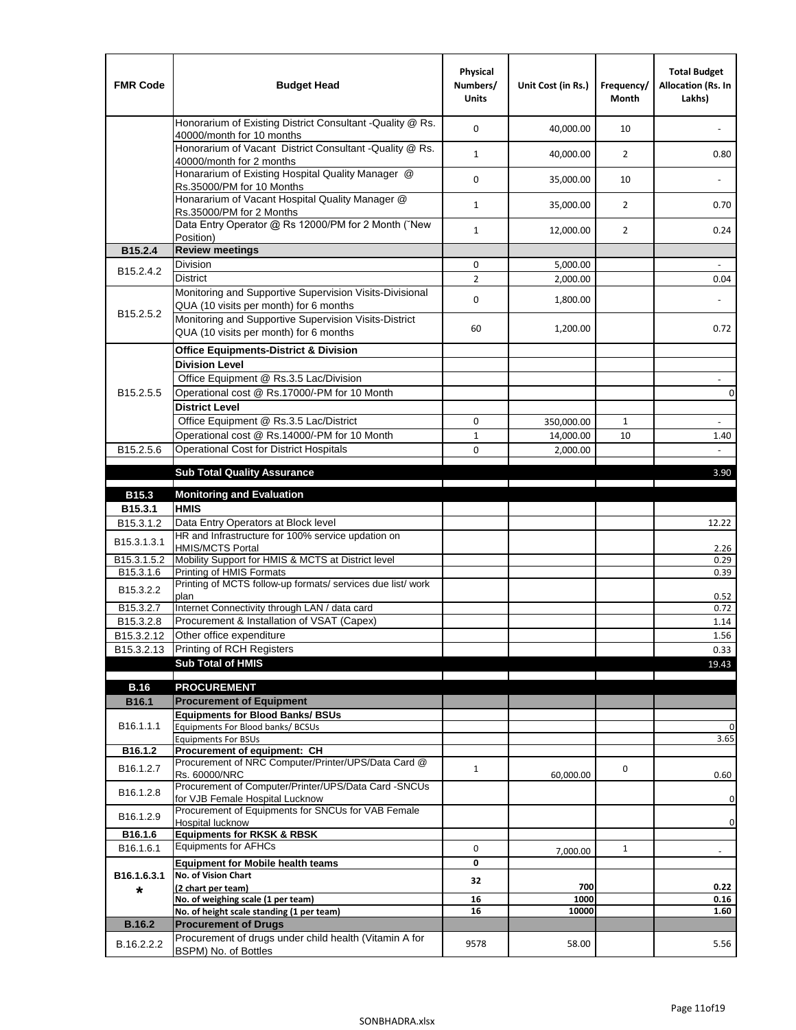| <b>FMR Code</b>         | <b>Budget Head</b>                                                                                | Physical<br>Numbers/<br><b>Units</b> | Unit Cost (in Rs.) | Frequency/<br><b>Month</b> | <b>Total Budget</b><br>Allocation (Rs. In<br>Lakhs) |
|-------------------------|---------------------------------------------------------------------------------------------------|--------------------------------------|--------------------|----------------------------|-----------------------------------------------------|
|                         | Honorarium of Existing District Consultant -Quality @ Rs.<br>40000/month for 10 months            | $\mathbf 0$                          | 40,000.00          | 10                         |                                                     |
|                         | Honorarium of Vacant District Consultant -Quality @ Rs.<br>40000/month for 2 months               | $\mathbf{1}$                         | 40,000.00          | $\overline{2}$             | 0.80                                                |
|                         | Honararium of Existing Hospital Quality Manager @<br>Rs.35000/PM for 10 Months                    | 0                                    | 35,000.00          | 10                         |                                                     |
|                         | Honararium of Vacant Hospital Quality Manager @<br>Rs.35000/PM for 2 Months                       | $\mathbf{1}$                         | 35,000.00          | $\overline{2}$             | 0.70                                                |
|                         | Data Entry Operator @ Rs 12000/PM for 2 Month ("New<br>Position)                                  | $\mathbf{1}$                         | 12,000.00          | $\overline{2}$             | 0.24                                                |
| B15.2.4                 | <b>Review meetings</b>                                                                            |                                      |                    |                            |                                                     |
| B <sub>15.2</sub> .4.2  | Division                                                                                          | 0                                    | 5,000.00           |                            |                                                     |
|                         | <b>District</b>                                                                                   | $\overline{2}$                       | 2,000.00           |                            | 0.04                                                |
| B15.2.5.2               | Monitoring and Supportive Supervision Visits-Divisional<br>QUA (10 visits per month) for 6 months | $\mathbf 0$                          | 1,800.00           |                            |                                                     |
|                         | Monitoring and Supportive Supervision Visits-District<br>QUA (10 visits per month) for 6 months   | 60                                   | 1,200.00           |                            | 0.72                                                |
|                         | <b>Office Equipments-District &amp; Division</b>                                                  |                                      |                    |                            |                                                     |
|                         | <b>Division Level</b>                                                                             |                                      |                    |                            |                                                     |
|                         | Office Equipment @ Rs.3.5 Lac/Division                                                            |                                      |                    |                            | $\sim$                                              |
| B15.2.5.5               | Operational cost @ Rs.17000/-PM for 10 Month                                                      |                                      |                    |                            | $\pmb{0}$                                           |
|                         | <b>District Level</b>                                                                             |                                      |                    |                            |                                                     |
|                         | Office Equipment @ Rs.3.5 Lac/District                                                            | 0                                    | 350,000.00         | $\mathbf{1}$               | $\blacksquare$                                      |
|                         | Operational cost @ Rs.14000/-PM for 10 Month                                                      | $1\,$                                | 14,000.00          | 10                         | 1.40                                                |
| B15.2.5.6               | Operational Cost for District Hospitals                                                           | 0                                    | 2,000.00           |                            | $\mathbf{r}$                                        |
|                         | <b>Sub Total Quality Assurance</b>                                                                |                                      |                    |                            | 3.90                                                |
| B15.3                   | <b>Monitoring and Evaluation</b>                                                                  |                                      |                    |                            |                                                     |
| B15.3.1                 | <b>HMIS</b>                                                                                       |                                      |                    |                            |                                                     |
| B15.3.1.2               | Data Entry Operators at Block level                                                               |                                      |                    |                            | 12.22                                               |
| B15.3.1.3.1             | HR and Infrastructure for 100% service updation on<br><b>HMIS/MCTS Portal</b>                     |                                      |                    |                            | 2.26                                                |
| B <sub>15.3.1.5.2</sub> | Mobility Support for HMIS & MCTS at District level                                                |                                      |                    |                            | 0.29                                                |
| B15.3.1.6               | Printing of HMIS Formats<br>Printing of MCTS follow-up formats/ services due list/ work           |                                      |                    |                            | 0.39                                                |
| B15.3.2.2               | plan                                                                                              |                                      |                    |                            | 0.52                                                |
| B15.3.2.7               | Internet Connectivity through LAN / data card                                                     |                                      |                    |                            | 0.72                                                |
| B15.3.2.8               | Procurement & Installation of VSAT (Capex)                                                        |                                      |                    |                            | 1.14                                                |
| B15.3.2.12              | Other office expenditure                                                                          |                                      |                    |                            | 1.56                                                |
| B15.3.2.13              | Printing of RCH Registers                                                                         |                                      |                    |                            | 0.33                                                |
|                         | <b>Sub Total of HMIS</b>                                                                          |                                      |                    |                            | 19.43                                               |
| <b>B.16</b>             | <b>PROCUREMENT</b>                                                                                |                                      |                    |                            |                                                     |
| B16.1                   | <b>Procurement of Equipment</b>                                                                   |                                      |                    |                            |                                                     |
|                         | <b>Equipments for Blood Banks/ BSUs</b>                                                           |                                      |                    |                            |                                                     |
| B16.1.1.1               | Equipments For Blood banks/ BCSUs                                                                 |                                      |                    |                            | 0                                                   |
| B16.1.2                 | <b>Equipments For BSUs</b><br>Procurement of equipment: CH                                        |                                      |                    |                            | 3.65                                                |
| B16.1.2.7               | Procurement of NRC Computer/Printer/UPS/Data Card @                                               | $\mathbf{1}$                         |                    | 0                          |                                                     |
|                         | Rs. 60000/NRC                                                                                     |                                      | 60,000.00          |                            | 0.60                                                |
| B16.1.2.8               | Procurement of Computer/Printer/UPS/Data Card -SNCUs                                              |                                      |                    |                            |                                                     |
|                         | for VJB Female Hospital Lucknow<br>Procurement of Equipments for SNCUs for VAB Female             |                                      |                    |                            | 0                                                   |
| B16.1.2.9               | Hospital lucknow                                                                                  |                                      |                    |                            | 0                                                   |
| B16.1.6                 | <b>Equipments for RKSK &amp; RBSK</b>                                                             |                                      |                    |                            |                                                     |
| B16.1.6.1               | <b>Equipments for AFHCs</b>                                                                       | 0                                    | 7,000.00           | $\mathbf{1}$               | ÷,                                                  |
|                         | <b>Equipment for Mobile health teams</b><br>No. of Vision Chart                                   | 0                                    |                    |                            |                                                     |
| B16.1.6.3.1<br>*        | (2 chart per team)                                                                                | 32                                   | 700                |                            | 0.22                                                |
|                         | No. of weighing scale (1 per team)                                                                | 16                                   | 1000               |                            | 0.16                                                |
|                         | No. of height scale standing (1 per team)                                                         | 16                                   | 10000              |                            | 1.60                                                |
| <b>B.16.2</b>           | <b>Procurement of Drugs</b>                                                                       |                                      |                    |                            |                                                     |
| B.16.2.2.2              | Procurement of drugs under child health (Vitamin A for<br>BSPM) No. of Bottles                    | 9578                                 | 58.00              |                            | 5.56                                                |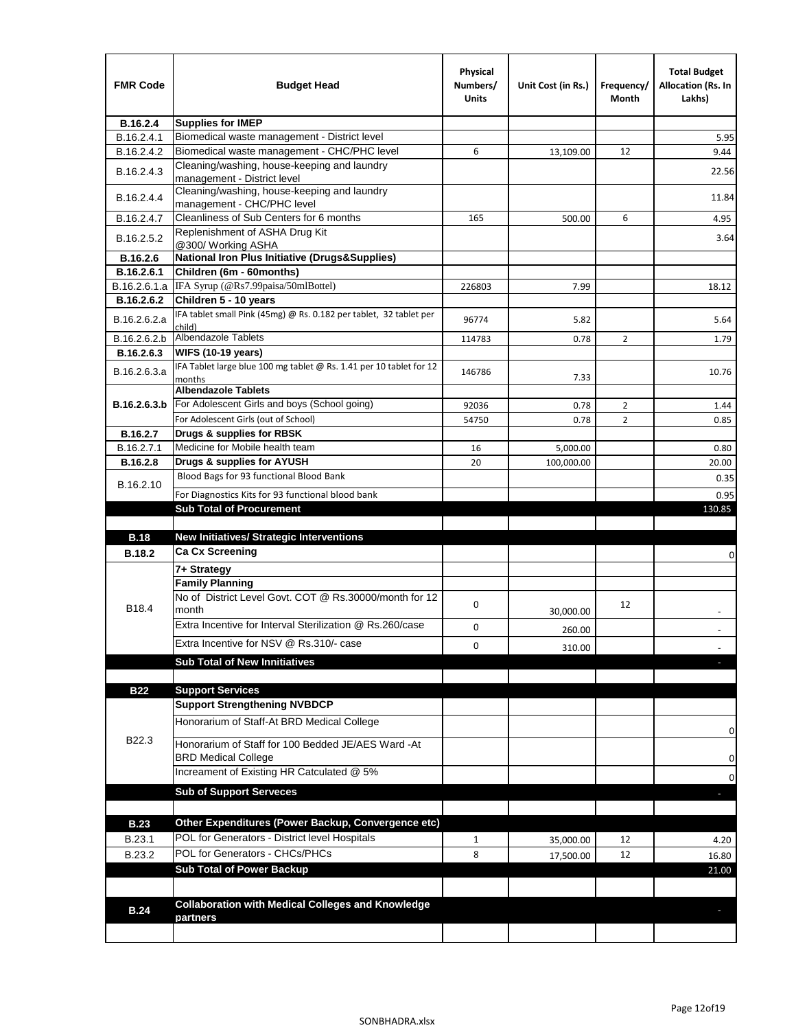| <b>FMR Code</b>               | <b>Budget Head</b>                                                                   | Physical<br>Numbers/<br><b>Units</b> | Unit Cost (in Rs.) | Frequency/<br>Month | <b>Total Budget</b><br><b>Allocation (Rs. In</b><br>Lakhs) |
|-------------------------------|--------------------------------------------------------------------------------------|--------------------------------------|--------------------|---------------------|------------------------------------------------------------|
| B.16.2.4                      | <b>Supplies for IMEP</b>                                                             |                                      |                    |                     |                                                            |
| B.16.2.4.1                    | Biomedical waste management - District level                                         |                                      |                    |                     | 5.95                                                       |
| B.16.2.4.2                    | Biomedical waste management - CHC/PHC level                                          | 6                                    | 13,109.00          | 12                  | 9.44                                                       |
| B.16.2.4.3                    | Cleaning/washing, house-keeping and laundry<br>management - District level           |                                      |                    |                     | 22.56                                                      |
| B.16.2.4.4                    | Cleaning/washing, house-keeping and laundry<br>management - CHC/PHC level            |                                      |                    |                     | 11.84                                                      |
| B.16.2.4.7                    | Cleanliness of Sub Centers for 6 months                                              | 165                                  | 500.00             | 6                   | 4.95                                                       |
| B.16.2.5.2                    | Replenishment of ASHA Drug Kit<br>@300/ Working ASHA                                 |                                      |                    |                     | 3.64                                                       |
| B.16.2.6                      | <b>National Iron Plus Initiative (Drugs&amp;Supplies)</b>                            |                                      |                    |                     |                                                            |
| B.16.2.6.1                    | Children (6m - 60months)                                                             |                                      |                    |                     |                                                            |
| B.16.2.6.1.a                  | IFA Syrup (@Rs7.99paisa/50mlBottel)                                                  | 226803                               | 7.99               |                     | 18.12                                                      |
| B.16.2.6.2                    | Children 5 - 10 years                                                                |                                      |                    |                     |                                                            |
| B.16.2.6.2.a                  | IFA tablet small Pink (45mg) @ Rs. 0.182 per tablet, 32 tablet per<br>child)         | 96774                                | 5.82               |                     | 5.64                                                       |
| B.16.2.6.2.b                  | <b>Albendazole Tablets</b>                                                           | 114783                               | 0.78               | 2                   | 1.79                                                       |
| B.16.2.6.3                    | <b>WIFS (10-19 years)</b>                                                            |                                      |                    |                     |                                                            |
| B.16.2.6.3.a                  | IFA Tablet large blue 100 mg tablet @ Rs. 1.41 per 10 tablet for 12<br>months        | 146786                               | 7.33               |                     | 10.76                                                      |
|                               | <b>Albendazole Tablets</b>                                                           |                                      |                    |                     |                                                            |
| B.16.2.6.3.b                  | For Adolescent Girls and boys (School going)                                         | 92036                                | 0.78               | $\overline{2}$      | 1.44                                                       |
|                               | For Adolescent Girls (out of School)                                                 | 54750                                | 0.78               | $\overline{2}$      | 0.85                                                       |
| B.16.2.7                      | Drugs & supplies for RBSK<br>Medicine for Mobile health team                         |                                      |                    |                     |                                                            |
| B.16.2.7.1<br><b>B.16.2.8</b> | Drugs & supplies for AYUSH                                                           | 16<br>20                             | 5,000.00           |                     | 0.80                                                       |
|                               | Blood Bags for 93 functional Blood Bank                                              |                                      | 100,000.00         |                     | 20.00                                                      |
| B.16.2.10                     |                                                                                      |                                      |                    |                     | 0.35                                                       |
|                               | For Diagnostics Kits for 93 functional blood bank<br><b>Sub Total of Procurement</b> |                                      |                    |                     | 0.95                                                       |
|                               |                                                                                      |                                      |                    |                     | 130.85                                                     |
| <b>B.18</b>                   | <b>New Initiatives/ Strategic Interventions</b>                                      |                                      |                    |                     |                                                            |
| <b>B.18.2</b>                 | <b>Ca Cx Screening</b>                                                               |                                      |                    |                     |                                                            |
|                               | 7+ Strategy                                                                          |                                      |                    |                     | 0                                                          |
|                               | <b>Family Planning</b>                                                               |                                      |                    |                     |                                                            |
| B18.4                         | No of District Level Govt. COT @ Rs.30000/month for 12<br>month                      | 0                                    | 30,000.00          | 12                  |                                                            |
|                               | Extra Incentive for Interval Sterilization @ Rs.260/case                             |                                      |                    |                     |                                                            |
|                               |                                                                                      | 0                                    | 260.00             |                     |                                                            |
|                               | Extra Incentive for NSV @ Rs.310/- case                                              | 0                                    | 310.00             |                     |                                                            |
|                               | <b>Sub Total of New Innitiatives</b>                                                 |                                      |                    |                     |                                                            |
|                               |                                                                                      |                                      |                    |                     |                                                            |
| <b>B22</b>                    | <b>Support Services</b><br><b>Support Strengthening NVBDCP</b>                       |                                      |                    |                     |                                                            |
|                               | Honorarium of Staff-At BRD Medical College                                           |                                      |                    |                     |                                                            |
| B22.3                         | Honorarium of Staff for 100 Bedded JE/AES Ward -At                                   |                                      |                    |                     | 0                                                          |
|                               | <b>BRD Medical College</b><br>Increament of Existing HR Catculated @ 5%              |                                      |                    |                     | 0                                                          |
|                               | <b>Sub of Support Serveces</b>                                                       |                                      |                    |                     | 0                                                          |
|                               |                                                                                      |                                      |                    |                     |                                                            |
|                               |                                                                                      |                                      |                    |                     |                                                            |
| <b>B.23</b>                   | Other Expenditures (Power Backup, Convergence etc)                                   |                                      |                    |                     |                                                            |
| B.23.1                        | POL for Generators - District level Hospitals                                        | $\mathbf{1}$                         | 35,000.00          | 12                  | 4.20                                                       |
| B.23.2                        | POL for Generators - CHCs/PHCs                                                       | 8                                    | 17,500.00          | 12                  | 16.80                                                      |
|                               | <b>Sub Total of Power Backup</b>                                                     |                                      |                    |                     | 21.00                                                      |
|                               |                                                                                      |                                      |                    |                     |                                                            |
| <b>B.24</b>                   | <b>Collaboration with Medical Colleges and Knowledge</b><br>partners                 |                                      |                    |                     |                                                            |
|                               |                                                                                      |                                      |                    |                     |                                                            |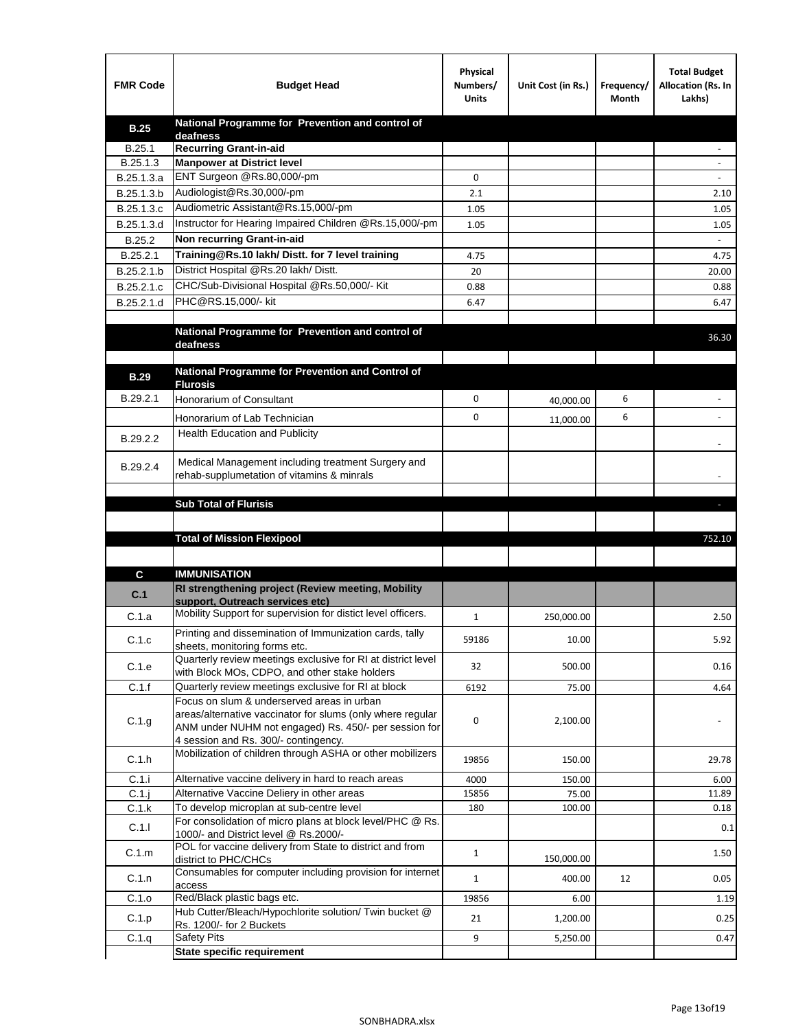| <b>FMR Code</b> | <b>Budget Head</b>                                                                                            | Physical<br>Numbers/<br><b>Units</b> | Unit Cost (in Rs.) | Frequency/<br>Month | <b>Total Budget</b><br>Allocation (Rs. In<br>Lakhs) |
|-----------------|---------------------------------------------------------------------------------------------------------------|--------------------------------------|--------------------|---------------------|-----------------------------------------------------|
| <b>B.25</b>     | National Programme for Prevention and control of                                                              |                                      |                    |                     |                                                     |
| B.25.1          | deafness<br><b>Recurring Grant-in-aid</b>                                                                     |                                      |                    |                     |                                                     |
| B.25.1.3        | <b>Manpower at District level</b>                                                                             |                                      |                    |                     |                                                     |
| B.25.1.3.a      | ENT Surgeon @Rs.80,000/-pm                                                                                    | 0                                    |                    |                     |                                                     |
| B.25.1.3.b      | Audiologist@Rs.30,000/-pm                                                                                     | 2.1                                  |                    |                     | 2.10                                                |
| B.25.1.3.c      | Audiometric Assistant@Rs.15,000/-pm                                                                           | 1.05                                 |                    |                     | 1.05                                                |
| B.25.1.3.d      | Instructor for Hearing Impaired Children @Rs.15,000/-pm                                                       | 1.05                                 |                    |                     | 1.05                                                |
| B.25.2          | Non recurring Grant-in-aid                                                                                    |                                      |                    |                     |                                                     |
| B.25.2.1        | Training@Rs.10 lakh/ Distt. for 7 level training                                                              | 4.75                                 |                    |                     | 4.75                                                |
| B.25.2.1.b      | District Hospital @Rs.20 lakh/Distt.                                                                          | 20                                   |                    |                     | 20.00                                               |
| B.25.2.1.c      | CHC/Sub-Divisional Hospital @Rs.50,000/- Kit                                                                  | 0.88                                 |                    |                     | 0.88                                                |
| B.25.2.1.d      | PHC@RS.15,000/- kit                                                                                           | 6.47                                 |                    |                     | 6.47                                                |
|                 |                                                                                                               |                                      |                    |                     |                                                     |
|                 | National Programme for Prevention and control of<br>deafness                                                  |                                      |                    |                     | 36.30                                               |
|                 |                                                                                                               |                                      |                    |                     |                                                     |
| <b>B.29</b>     | National Programme for Prevention and Control of                                                              |                                      |                    |                     |                                                     |
|                 | <b>Flurosis</b>                                                                                               |                                      |                    |                     |                                                     |
| B.29.2.1        | Honorarium of Consultant                                                                                      | 0                                    | 40,000.00          | 6                   |                                                     |
|                 | Honorarium of Lab Technician                                                                                  | 0                                    | 11,000.00          | 6                   | $\ddot{\phantom{1}}$                                |
| B.29.2.2        | <b>Health Education and Publicity</b>                                                                         |                                      |                    |                     |                                                     |
|                 |                                                                                                               |                                      |                    |                     |                                                     |
| B.29.2.4        | Medical Management including treatment Surgery and                                                            |                                      |                    |                     |                                                     |
|                 | rehab-supplumetation of vitamins & minrals                                                                    |                                      |                    |                     |                                                     |
|                 | <b>Sub Total of Flurisis</b>                                                                                  |                                      |                    |                     | ь                                                   |
|                 |                                                                                                               |                                      |                    |                     |                                                     |
|                 | <b>Total of Mission Flexipool</b>                                                                             |                                      |                    |                     | 752.10                                              |
|                 |                                                                                                               |                                      |                    |                     |                                                     |
| C               | <b>IMMUNISATION</b>                                                                                           |                                      |                    |                     |                                                     |
|                 | RI strengthening project (Review meeting, Mobility                                                            |                                      |                    |                     |                                                     |
| C.1             | support, Outreach services etc)                                                                               |                                      |                    |                     |                                                     |
| C.1.a           | Mobility Support for supervision for distict level officers.                                                  | $\mathbf{1}$                         | 250,000.00         |                     | 2.50                                                |
| C.1.c           | Printing and dissemination of Immunization cards, tally                                                       | 59186                                | 10.00              |                     | 5.92                                                |
|                 | sheets, monitoring forms etc.                                                                                 |                                      |                    |                     |                                                     |
| C.1.e           | Quarterly review meetings exclusive for RI at district level<br>with Block MOs, CDPO, and other stake holders | 32                                   | 500.00             |                     | 0.16                                                |
| C.1.f           | Quarterly review meetings exclusive for RI at block                                                           | 6192                                 | 75.00              |                     | 4.64                                                |
|                 | Focus on slum & underserved areas in urban                                                                    |                                      |                    |                     |                                                     |
| C.1.g           | areas/alternative vaccinator for slums (only where regular                                                    | 0                                    | 2,100.00           |                     |                                                     |
|                 | ANM under NUHM not engaged) Rs. 450/- per session for                                                         |                                      |                    |                     |                                                     |
|                 | 4 session and Rs. 300/- contingency.<br>Mobilization of children through ASHA or other mobilizers             |                                      |                    |                     |                                                     |
| C.1.h           |                                                                                                               | 19856                                | 150.00             |                     | 29.78                                               |
| C.1.i           | Alternative vaccine delivery in hard to reach areas                                                           | 4000                                 | 150.00             |                     | 6.00                                                |
| $C.1$ .j        | Alternative Vaccine Deliery in other areas                                                                    | 15856                                | 75.00              |                     | 11.89                                               |
| C.1.k           | To develop microplan at sub-centre level                                                                      | 180                                  | 100.00             |                     | 0.18                                                |
| C.1.1           | For consolidation of micro plans at block level/PHC @ Rs.<br>1000/- and District level @ Rs.2000/-            |                                      |                    |                     | 0.1                                                 |
| C.1.m           | POL for vaccine delivery from State to district and from                                                      | $\mathbf{1}$                         |                    |                     | 1.50                                                |
|                 | district to PHC/CHCs                                                                                          |                                      | 150,000.00         |                     |                                                     |
| C.1.n           | Consumables for computer including provision for internet<br>access                                           | $\mathbf{1}$                         | 400.00             | 12                  | 0.05                                                |
| C.1.o           | Red/Black plastic bags etc.                                                                                   | 19856                                | 6.00               |                     | 1.19                                                |
| C.1.p           | Hub Cutter/Bleach/Hypochlorite solution/ Twin bucket @                                                        | 21                                   | 1,200.00           |                     | 0.25                                                |
|                 | Rs. 1200/- for 2 Buckets                                                                                      |                                      |                    |                     |                                                     |
| C.1.q           | <b>Safety Pits</b><br><b>State specific requirement</b>                                                       | 9                                    | 5,250.00           |                     | 0.47                                                |
|                 |                                                                                                               |                                      |                    |                     |                                                     |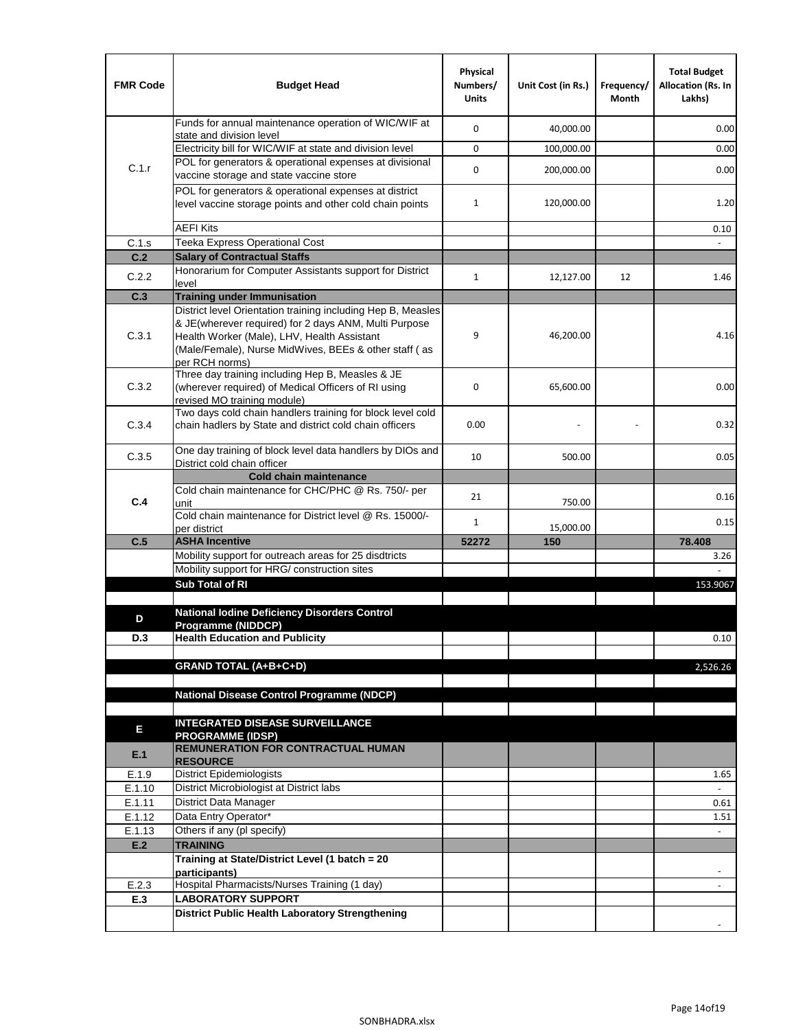| <b>FMR Code</b> | <b>Budget Head</b>                                                                                                                                                              | Physical<br>Numbers/<br><b>Units</b> | Unit Cost (in Rs.) | Frequency/<br>Month | <b>Total Budget</b><br><b>Allocation (Rs. In</b><br>Lakhs) |
|-----------------|---------------------------------------------------------------------------------------------------------------------------------------------------------------------------------|--------------------------------------|--------------------|---------------------|------------------------------------------------------------|
|                 | Funds for annual maintenance operation of WIC/WIF at<br>state and division level                                                                                                | $\mathbf 0$                          | 40,000.00          |                     | 0.00                                                       |
|                 | Electricity bill for WIC/WIF at state and division level                                                                                                                        | $\mathbf 0$                          | 100,000.00         |                     | 0.00                                                       |
| C.1.r           | POL for generators & operational expenses at divisional                                                                                                                         |                                      |                    |                     |                                                            |
|                 | vaccine storage and state vaccine store                                                                                                                                         | $\mathbf 0$                          | 200,000.00         |                     | 0.00                                                       |
|                 | POL for generators & operational expenses at district<br>level vaccine storage points and other cold chain points                                                               | $\mathbf{1}$                         | 120,000.00         |                     | 1.20                                                       |
|                 | <b>AEFI Kits</b>                                                                                                                                                                |                                      |                    |                     | 0.10                                                       |
| C.1.s           | Teeka Express Operational Cost                                                                                                                                                  |                                      |                    |                     |                                                            |
| C.2             | <b>Salary of Contractual Staffs</b>                                                                                                                                             |                                      |                    |                     |                                                            |
| C.2.2           | Honorarium for Computer Assistants support for District<br>level                                                                                                                | $\mathbf{1}$                         | 12,127.00          | 12                  | 1.46                                                       |
| C.3             | <b>Training under Immunisation</b>                                                                                                                                              |                                      |                    |                     |                                                            |
|                 | District level Orientation training including Hep B, Measles                                                                                                                    |                                      |                    |                     |                                                            |
| C.3.1           | & JE(wherever required) for 2 days ANM, Multi Purpose<br>Health Worker (Male), LHV, Health Assistant<br>(Male/Female), Nurse MidWives, BEEs & other staff (as<br>per RCH norms) | 9                                    | 46,200.00          |                     | 4.16                                                       |
| C.3.2           | Three day training including Hep B, Measles & JE<br>(wherever required) of Medical Officers of RI using<br>revised MO training module)                                          | $\mathbf 0$                          | 65,600.00          |                     | 0.00                                                       |
| C.3.4           | Two days cold chain handlers training for block level cold<br>chain hadlers by State and district cold chain officers                                                           | 0.00                                 |                    |                     | 0.32                                                       |
| C.3.5           | One day training of block level data handlers by DIOs and<br>District cold chain officer                                                                                        | 10                                   | 500.00             |                     | 0.05                                                       |
|                 | <b>Cold chain maintenance</b>                                                                                                                                                   |                                      |                    |                     |                                                            |
| C.4             | Cold chain maintenance for CHC/PHC @ Rs. 750/- per<br>unit                                                                                                                      | 21                                   | 750.00             |                     | 0.16                                                       |
|                 | Cold chain maintenance for District level @ Rs. 15000/-<br>per district                                                                                                         | $\mathbf{1}$                         | 15,000.00          |                     | 0.15                                                       |
| C.5             | <b>ASHA Incentive</b>                                                                                                                                                           | 52272                                | 150                |                     | 78.408                                                     |
|                 | Mobility support for outreach areas for 25 disdtricts                                                                                                                           |                                      |                    |                     | 3.26                                                       |
|                 | Mobility support for HRG/ construction sites                                                                                                                                    |                                      |                    |                     |                                                            |
|                 | Sub Total of RI                                                                                                                                                                 |                                      |                    |                     | 153.9067                                                   |
|                 |                                                                                                                                                                                 |                                      |                    |                     |                                                            |
| D               | <b>National Iodine Deficiency Disorders Control</b><br>Programme (NIDDCP)                                                                                                       |                                      |                    |                     |                                                            |
| D.3             | <b>Health Education and Publicity</b>                                                                                                                                           |                                      |                    |                     | 0.10                                                       |
|                 |                                                                                                                                                                                 |                                      |                    |                     |                                                            |
|                 | <b>GRAND TOTAL (A+B+C+D)</b>                                                                                                                                                    |                                      |                    |                     | 2,526.26                                                   |
|                 |                                                                                                                                                                                 |                                      |                    |                     |                                                            |
|                 | <b>National Disease Control Programme (NDCP)</b>                                                                                                                                |                                      |                    |                     |                                                            |
|                 | <b>INTEGRATED DISEASE SURVEILLANCE</b>                                                                                                                                          |                                      |                    |                     |                                                            |
| Е               | <b>PROGRAMME (IDSP)</b>                                                                                                                                                         |                                      |                    |                     |                                                            |
| E.1             | REMUNERATION FOR CONTRACTUAL HUMAN<br><b>RESOURCE</b>                                                                                                                           |                                      |                    |                     |                                                            |
| E.1.9           | District Epidemiologists                                                                                                                                                        |                                      |                    |                     | 1.65                                                       |
| E.1.10          | District Microbiologist at District labs                                                                                                                                        |                                      |                    |                     |                                                            |
| E.1.11          | District Data Manager                                                                                                                                                           |                                      |                    |                     | 0.61                                                       |
| E.1.12          | Data Entry Operator*                                                                                                                                                            |                                      |                    |                     | 1.51                                                       |
| E.1.13          | Others if any (pl specify)                                                                                                                                                      |                                      |                    |                     | $\omega$                                                   |
| E.2             | <b>TRAINING</b><br>Training at State/District Level (1 batch = 20                                                                                                               |                                      |                    |                     |                                                            |
|                 | participants)                                                                                                                                                                   |                                      |                    |                     |                                                            |
| E.2.3           | Hospital Pharmacists/Nurses Training (1 day)                                                                                                                                    |                                      |                    |                     |                                                            |
| E.3             | <b>LABORATORY SUPPORT</b>                                                                                                                                                       |                                      |                    |                     |                                                            |
|                 | <b>District Public Health Laboratory Strengthening</b>                                                                                                                          |                                      |                    |                     |                                                            |
|                 |                                                                                                                                                                                 |                                      |                    |                     |                                                            |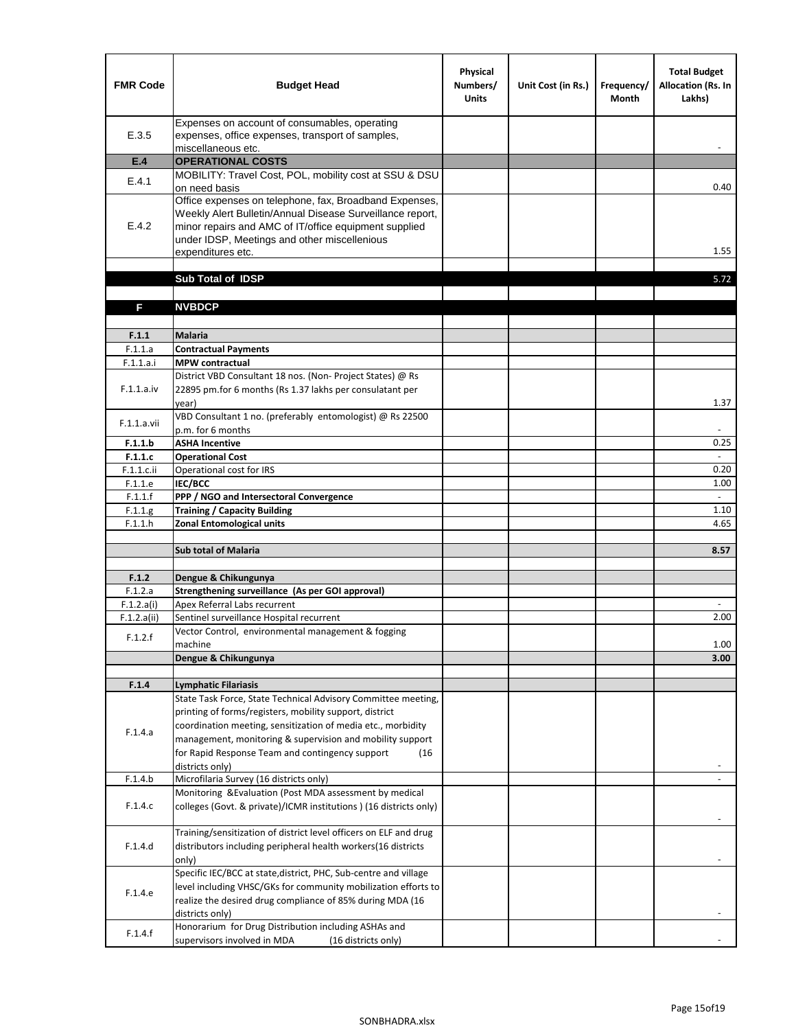| <b>FMR Code</b>    | <b>Budget Head</b>                                                                                                                                                                                                                                | Physical<br>Numbers/<br><b>Units</b> | Unit Cost (in Rs.) | Frequency/<br><b>Month</b> | <b>Total Budget</b><br><b>Allocation (Rs. In</b><br>Lakhs) |
|--------------------|---------------------------------------------------------------------------------------------------------------------------------------------------------------------------------------------------------------------------------------------------|--------------------------------------|--------------------|----------------------------|------------------------------------------------------------|
| E.3.5              | Expenses on account of consumables, operating<br>expenses, office expenses, transport of samples,<br>miscellaneous etc.                                                                                                                           |                                      |                    |                            |                                                            |
| E.4                | <b>OPERATIONAL COSTS</b>                                                                                                                                                                                                                          |                                      |                    |                            |                                                            |
| E.4.1              | MOBILITY: Travel Cost, POL, mobility cost at SSU & DSU                                                                                                                                                                                            |                                      |                    |                            |                                                            |
|                    | on need basis                                                                                                                                                                                                                                     |                                      |                    |                            | 0.40                                                       |
| E.4.2              | Office expenses on telephone, fax, Broadband Expenses,<br>Weekly Alert Bulletin/Annual Disease Surveillance report,<br>minor repairs and AMC of IT/office equipment supplied<br>under IDSP, Meetings and other miscellenious<br>expenditures etc. |                                      |                    |                            | 1.55                                                       |
|                    | Sub Total of IDSP                                                                                                                                                                                                                                 |                                      |                    |                            | 5.72                                                       |
|                    |                                                                                                                                                                                                                                                   |                                      |                    |                            |                                                            |
| F                  | <b>NVBDCP</b>                                                                                                                                                                                                                                     |                                      |                    |                            |                                                            |
|                    |                                                                                                                                                                                                                                                   |                                      |                    |                            |                                                            |
| F.1.1              | <b>Malaria</b>                                                                                                                                                                                                                                    |                                      |                    |                            |                                                            |
| F.1.1.a            | <b>Contractual Payments</b>                                                                                                                                                                                                                       |                                      |                    |                            |                                                            |
| F.1.1.a.i          | <b>MPW</b> contractual                                                                                                                                                                                                                            |                                      |                    |                            |                                                            |
| F.1.1.a.iv         | District VBD Consultant 18 nos. (Non-Project States) @ Rs<br>22895 pm.for 6 months (Rs 1.37 lakhs per consulatant per<br>year)                                                                                                                    |                                      |                    |                            | 1.37                                                       |
|                    | VBD Consultant 1 no. (preferably entomologist) @ Rs 22500                                                                                                                                                                                         |                                      |                    |                            |                                                            |
| F.1.1.a.vii        | p.m. for 6 months                                                                                                                                                                                                                                 |                                      |                    |                            |                                                            |
| F.1.1.b            | <b>ASHA Incentive</b>                                                                                                                                                                                                                             |                                      |                    |                            | 0.25                                                       |
| F.1.1.c            | <b>Operational Cost</b>                                                                                                                                                                                                                           |                                      |                    |                            |                                                            |
| $F.1.1.c.$ ii      | Operational cost for IRS                                                                                                                                                                                                                          |                                      |                    |                            | 0.20                                                       |
| F.1.1.e            | <b>IEC/BCC</b>                                                                                                                                                                                                                                    |                                      |                    |                            | 1.00                                                       |
| F.1.1.f            | PPP / NGO and Intersectoral Convergence                                                                                                                                                                                                           |                                      |                    |                            | $\omega$<br>1.10                                           |
| F.1.1.g<br>F.1.1.h | <b>Training / Capacity Building</b><br><b>Zonal Entomological units</b>                                                                                                                                                                           |                                      |                    |                            | 4.65                                                       |
|                    |                                                                                                                                                                                                                                                   |                                      |                    |                            |                                                            |
|                    | <b>Sub total of Malaria</b>                                                                                                                                                                                                                       |                                      |                    |                            | 8.57                                                       |
|                    |                                                                                                                                                                                                                                                   |                                      |                    |                            |                                                            |
| F.1.2              | Dengue & Chikungunya                                                                                                                                                                                                                              |                                      |                    |                            |                                                            |
| F.1.2.a            | Strengthening surveillance (As per GOI approval)                                                                                                                                                                                                  |                                      |                    |                            |                                                            |
| F.1.2.a(i)         | Apex Referral Labs recurrent<br>Sentinel surveillance Hospital recurrent                                                                                                                                                                          |                                      |                    |                            | 2.00                                                       |
| F.1.2.a(ii)        | Vector Control, environmental management & fogging                                                                                                                                                                                                |                                      |                    |                            |                                                            |
| F.1.2.f            | machine                                                                                                                                                                                                                                           |                                      |                    |                            | 1.00                                                       |
|                    | Dengue & Chikungunya                                                                                                                                                                                                                              |                                      |                    |                            | 3.00                                                       |
|                    |                                                                                                                                                                                                                                                   |                                      |                    |                            |                                                            |
| F.1.4              | <b>Lymphatic Filariasis</b>                                                                                                                                                                                                                       |                                      |                    |                            |                                                            |
|                    | State Task Force, State Technical Advisory Committee meeting,                                                                                                                                                                                     |                                      |                    |                            |                                                            |
|                    | printing of forms/registers, mobility support, district<br>coordination meeting, sensitization of media etc., morbidity                                                                                                                           |                                      |                    |                            |                                                            |
| F.1.4.a            | management, monitoring & supervision and mobility support                                                                                                                                                                                         |                                      |                    |                            |                                                            |
|                    | for Rapid Response Team and contingency support<br>(16)                                                                                                                                                                                           |                                      |                    |                            |                                                            |
|                    | districts only)                                                                                                                                                                                                                                   |                                      |                    |                            |                                                            |
| F.1.4.b            | Microfilaria Survey (16 districts only)                                                                                                                                                                                                           |                                      |                    |                            |                                                            |
| F.1.4.c            | Monitoring & Evaluation (Post MDA assessment by medical<br>colleges (Govt. & private)/ICMR institutions ) (16 districts only)                                                                                                                     |                                      |                    |                            |                                                            |
|                    |                                                                                                                                                                                                                                                   |                                      |                    |                            |                                                            |
| F.1.4.d            | Training/sensitization of district level officers on ELF and drug<br>distributors including peripheral health workers(16 districts                                                                                                                |                                      |                    |                            |                                                            |
|                    | only)                                                                                                                                                                                                                                             |                                      |                    |                            |                                                            |
|                    | Specific IEC/BCC at state, district, PHC, Sub-centre and village                                                                                                                                                                                  |                                      |                    |                            |                                                            |
| F.1.4.e            | level including VHSC/GKs for community mobilization efforts to                                                                                                                                                                                    |                                      |                    |                            |                                                            |
|                    | realize the desired drug compliance of 85% during MDA (16<br>districts only)                                                                                                                                                                      |                                      |                    |                            |                                                            |
|                    | Honorarium for Drug Distribution including ASHAs and                                                                                                                                                                                              |                                      |                    |                            |                                                            |
| F.1.4.f            | supervisors involved in MDA<br>(16 districts only)                                                                                                                                                                                                |                                      |                    |                            |                                                            |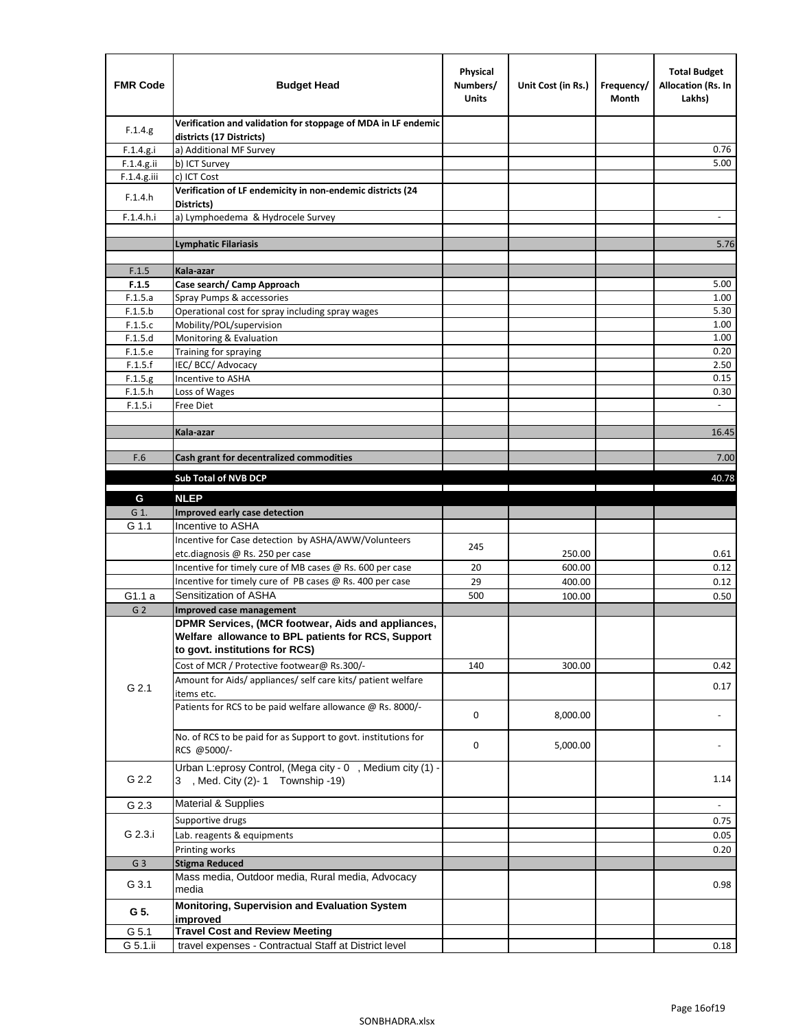| <b>FMR Code</b>    | <b>Budget Head</b>                                                                             | Physical<br>Numbers/<br><b>Units</b> | Unit Cost (in Rs.) | Frequency/<br>Month | <b>Total Budget</b><br><b>Allocation (Rs. In</b><br>Lakhs) |
|--------------------|------------------------------------------------------------------------------------------------|--------------------------------------|--------------------|---------------------|------------------------------------------------------------|
| F.1.4.g.           | Verification and validation for stoppage of MDA in LF endemic<br>districts (17 Districts)      |                                      |                    |                     |                                                            |
| F.1.4.g.i          | a) Additional MF Survey                                                                        |                                      |                    |                     | 0.76                                                       |
| F.1.4.g.ii         | b) ICT Survey                                                                                  |                                      |                    |                     | 5.00                                                       |
| $F.1.4.g.$ iii     | c) ICT Cost                                                                                    |                                      |                    |                     |                                                            |
| F.1.4.h            | Verification of LF endemicity in non-endemic districts (24<br>Districts)                       |                                      |                    |                     |                                                            |
| F.1.4.h.i          | a) Lymphoedema & Hydrocele Survey                                                              |                                      |                    |                     |                                                            |
|                    | <b>Lymphatic Filariasis</b>                                                                    |                                      |                    |                     | 5.76                                                       |
|                    |                                                                                                |                                      |                    |                     |                                                            |
| F.1.5              | Kala-azar                                                                                      |                                      |                    |                     |                                                            |
| F.1.5              | Case search/ Camp Approach                                                                     |                                      |                    |                     | 5.00                                                       |
| F.1.5.a            | Spray Pumps & accessories                                                                      |                                      |                    |                     | 1.00                                                       |
| F.1.5.b            | Operational cost for spray including spray wages                                               |                                      |                    |                     | 5.30                                                       |
| F.1.5.c            | Mobility/POL/supervision                                                                       |                                      |                    |                     | 1.00                                                       |
| F.1.5.d            | Monitoring & Evaluation                                                                        |                                      |                    |                     | 1.00                                                       |
| F.1.5.e<br>F.1.5.f | Training for spraying                                                                          |                                      |                    |                     | 0.20<br>2.50                                               |
| F.1.5.g            | IEC/BCC/Advocacy<br>Incentive to ASHA                                                          |                                      |                    |                     | 0.15                                                       |
| F.1.5.h            | Loss of Wages                                                                                  |                                      |                    |                     | 0.30                                                       |
| F.1.5.i            | Free Diet                                                                                      |                                      |                    |                     |                                                            |
|                    |                                                                                                |                                      |                    |                     |                                                            |
|                    | Kala-azar                                                                                      |                                      |                    |                     | 16.45                                                      |
|                    |                                                                                                |                                      |                    |                     |                                                            |
| F.6                | Cash grant for decentralized commodities                                                       |                                      |                    |                     | 7.00                                                       |
|                    | <b>Sub Total of NVB DCP</b>                                                                    |                                      |                    |                     | 40.78                                                      |
|                    |                                                                                                |                                      |                    |                     |                                                            |
| G                  | <b>NLEP</b>                                                                                    |                                      |                    |                     |                                                            |
| G 1.               | Improved early case detection<br>Incentive to ASHA                                             |                                      |                    |                     |                                                            |
| G 1.1              | Incentive for Case detection by ASHA/AWW/Volunteers                                            |                                      |                    |                     |                                                            |
|                    | etc.diagnosis @ Rs. 250 per case                                                               | 245                                  | 250.00             |                     | 0.61                                                       |
|                    | Incentive for timely cure of MB cases @ Rs. 600 per case                                       | 20                                   | 600.00             |                     | 0.12                                                       |
|                    | Incentive for timely cure of PB cases @ Rs. 400 per case                                       | 29                                   | 400.00             |                     | 0.12                                                       |
| G1.1 a             | Sensitization of ASHA                                                                          | 500                                  | 100.00             |                     | 0.50                                                       |
| G <sub>2</sub>     | Improved case management                                                                       |                                      |                    |                     |                                                            |
|                    | DPMR Services, (MCR footwear, Aids and appliances,                                             |                                      |                    |                     |                                                            |
|                    | Welfare allowance to BPL patients for RCS, Support<br>to govt. institutions for RCS)           |                                      |                    |                     |                                                            |
|                    | Cost of MCR / Protective footwear@ Rs.300/-                                                    | 140                                  | 300.00             |                     | 0.42                                                       |
|                    | Amount for Aids/ appliances/ self care kits/ patient welfare                                   |                                      |                    |                     |                                                            |
| G 2.1              | items etc.                                                                                     |                                      |                    |                     | 0.17                                                       |
|                    | Patients for RCS to be paid welfare allowance @ Rs. 8000/-                                     | 0                                    | 8,000.00           |                     |                                                            |
|                    | No. of RCS to be paid for as Support to govt. institutions for<br>RCS @5000/-                  | 0                                    | 5,000.00           |                     |                                                            |
| G 2.2              | Urban L:eprosy Control, (Mega city - 0, Medium city (1) -<br>3 , Med. City (2)-1 Township -19) |                                      |                    |                     | 1.14                                                       |
| G 2.3              | <b>Material &amp; Supplies</b>                                                                 |                                      |                    |                     | $\overline{\phantom{a}}$                                   |
|                    | Supportive drugs                                                                               |                                      |                    |                     | 0.75                                                       |
| G 2.3.i            | Lab. reagents & equipments                                                                     |                                      |                    |                     | 0.05                                                       |
|                    | Printing works                                                                                 |                                      |                    |                     | 0.20                                                       |
| G <sub>3</sub>     | <b>Stigma Reduced</b>                                                                          |                                      |                    |                     |                                                            |
|                    | Mass media, Outdoor media, Rural media, Advocacy                                               |                                      |                    |                     |                                                            |
| G 3.1              | media                                                                                          |                                      |                    |                     | 0.98                                                       |
| G 5.               | Monitoring, Supervision and Evaluation System<br>improved                                      |                                      |                    |                     |                                                            |
| G 5.1              | <b>Travel Cost and Review Meeting</b>                                                          |                                      |                    |                     |                                                            |
| G 5.1.ii           | travel expenses - Contractual Staff at District level                                          |                                      |                    |                     | 0.18                                                       |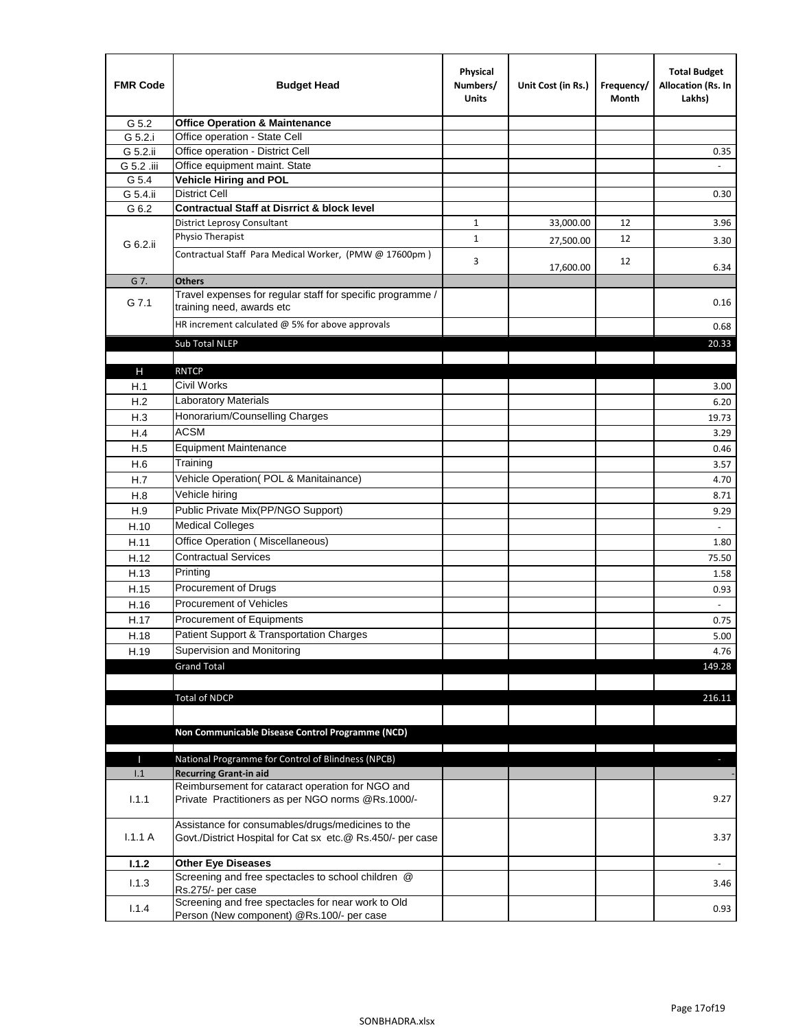| <b>FMR Code</b> | <b>Budget Head</b>                                                                                              | Physical<br>Numbers/<br><b>Units</b> | Unit Cost (in Rs.) | Frequency/<br>Month | <b>Total Budget</b><br>Allocation (Rs. In<br>Lakhs) |
|-----------------|-----------------------------------------------------------------------------------------------------------------|--------------------------------------|--------------------|---------------------|-----------------------------------------------------|
| G 5.2           | <b>Office Operation &amp; Maintenance</b>                                                                       |                                      |                    |                     |                                                     |
| G 5.2.i         | Office operation - State Cell                                                                                   |                                      |                    |                     |                                                     |
| G 5.2.ii        | Office operation - District Cell                                                                                |                                      |                    |                     | 0.35                                                |
| G 5.2 .iii      | Office equipment maint. State                                                                                   |                                      |                    |                     |                                                     |
| G 5.4           | Vehicle Hiring and POL                                                                                          |                                      |                    |                     |                                                     |
| G 5.4.ii        | <b>District Cell</b>                                                                                            |                                      |                    |                     | 0.30                                                |
| G 6.2           | <b>Contractual Staff at Disrrict &amp; block level</b>                                                          |                                      |                    |                     |                                                     |
|                 | <b>District Leprosy Consultant</b>                                                                              | 1                                    | 33,000.00          | 12                  | 3.96                                                |
| G 6.2.ii        | Physio Therapist                                                                                                | $\mathbf{1}$                         | 27,500.00          | 12                  | 3.30                                                |
|                 | Contractual Staff Para Medical Worker, (PMW @ 17600pm)                                                          | 3                                    | 17,600.00          | 12                  | 6.34                                                |
| G 7.            | <b>Others</b>                                                                                                   |                                      |                    |                     |                                                     |
| G 7.1           | Travel expenses for regular staff for specific programme /<br>training need, awards etc                         |                                      |                    |                     | 0.16                                                |
|                 | HR increment calculated $\omega$ 5% for above approvals                                                         |                                      |                    |                     | 0.68                                                |
|                 | Sub Total NLEP                                                                                                  |                                      |                    |                     | 20.33                                               |
|                 |                                                                                                                 |                                      |                    |                     |                                                     |
| Н               | <b>RNTCP</b>                                                                                                    |                                      |                    |                     |                                                     |
| H.1             | Civil Works                                                                                                     |                                      |                    |                     | 3.00                                                |
| H.2             | Laboratory Materials                                                                                            |                                      |                    |                     | 6.20                                                |
| H.3             | Honorarium/Counselling Charges                                                                                  |                                      |                    |                     | 19.73                                               |
| H.4             | <b>ACSM</b>                                                                                                     |                                      |                    |                     | 3.29                                                |
| H.5             | <b>Equipment Maintenance</b>                                                                                    |                                      |                    |                     | 0.46                                                |
| H.6             | Training                                                                                                        |                                      |                    |                     | 3.57                                                |
| H.7             | Vehicle Operation(POL & Manitainance)                                                                           |                                      |                    |                     | 4.70                                                |
| H.8             | Vehicle hiring                                                                                                  |                                      |                    |                     | 8.71                                                |
| H.9             | Public Private Mix(PP/NGO Support)                                                                              |                                      |                    |                     | 9.29                                                |
| H.10            | <b>Medical Colleges</b>                                                                                         |                                      |                    |                     | $\omega$                                            |
| H.11            | Office Operation (Miscellaneous)                                                                                |                                      |                    |                     | 1.80                                                |
| H.12            | <b>Contractual Services</b>                                                                                     |                                      |                    |                     | 75.50                                               |
| H.13            | Printing                                                                                                        |                                      |                    |                     | 1.58                                                |
| H.15            | Procurement of Drugs                                                                                            |                                      |                    |                     | 0.93                                                |
| H.16            | Procurement of Vehicles                                                                                         |                                      |                    |                     | $\sim$                                              |
|                 | Procurement of Equipments                                                                                       |                                      |                    |                     | 0.75                                                |
| H.17            | Patient Support & Transportation Charges                                                                        |                                      |                    |                     | 5.00                                                |
| H.18            | Supervision and Monitoring                                                                                      |                                      |                    |                     |                                                     |
| H.19            | <b>Grand Total</b>                                                                                              |                                      |                    |                     | 4.76<br>149.28                                      |
|                 |                                                                                                                 |                                      |                    |                     |                                                     |
|                 |                                                                                                                 |                                      |                    |                     | 216.11                                              |
|                 | <b>Total of NDCP</b>                                                                                            |                                      |                    |                     |                                                     |
|                 |                                                                                                                 |                                      |                    |                     |                                                     |
|                 | Non Communicable Disease Control Programme (NCD)                                                                |                                      |                    |                     |                                                     |
| Т               | National Programme for Control of Blindness (NPCB)                                                              |                                      |                    |                     | ÷.                                                  |
| 1.1             | <b>Recurring Grant-in aid</b>                                                                                   |                                      |                    |                     |                                                     |
|                 | Reimbursement for cataract operation for NGO and                                                                |                                      |                    |                     |                                                     |
| 1.1.1           | Private Practitioners as per NGO norms @Rs.1000/-                                                               |                                      |                    |                     | 9.27                                                |
| 1.1.1A          | Assistance for consumables/drugs/medicines to the<br>Govt./District Hospital for Cat sx etc.@ Rs.450/- per case |                                      |                    |                     | 3.37                                                |
| 1.1.2           | <b>Other Eye Diseases</b>                                                                                       |                                      |                    |                     |                                                     |
| 1.1.3           | Screening and free spectacles to school children @                                                              |                                      |                    |                     | 3.46                                                |
|                 | Rs.275/- per case                                                                                               |                                      |                    |                     |                                                     |
| 1.1.4           | Screening and free spectacles for near work to Old<br>Person (New component) @Rs.100/- per case                 |                                      |                    |                     | 0.93                                                |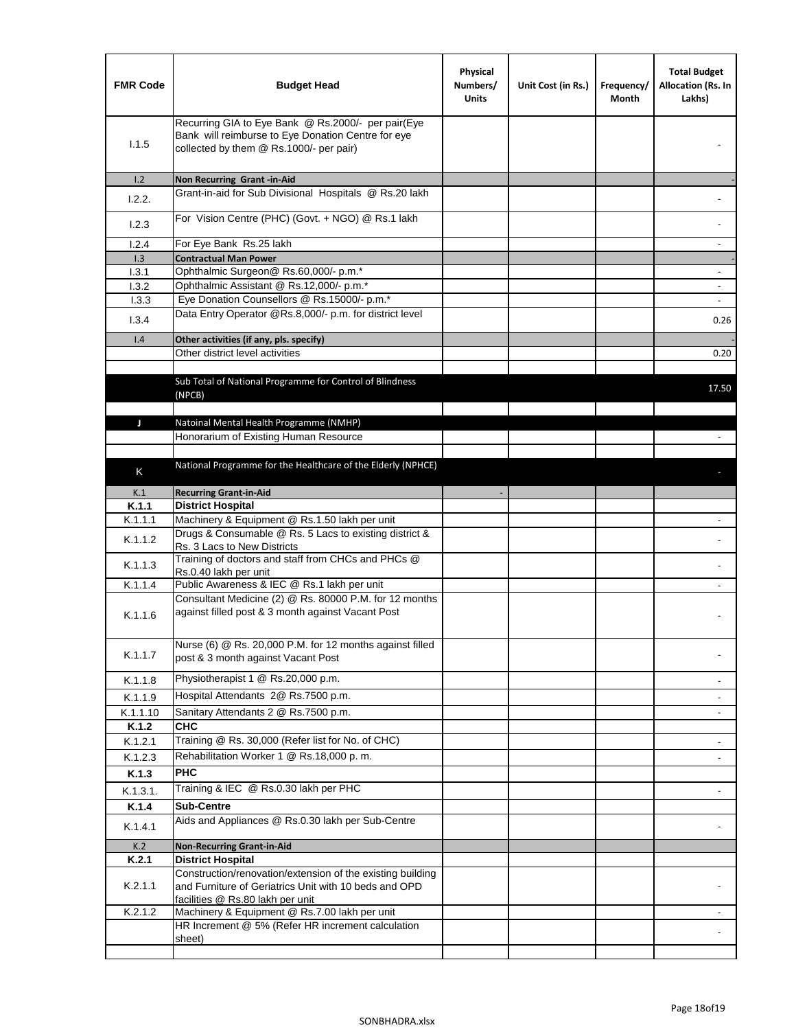| <b>FMR Code</b> | <b>Budget Head</b>                                                                                                                                      | Physical<br>Numbers/<br><b>Units</b> | Unit Cost (in Rs.) | Frequency/<br>Month | <b>Total Budget</b><br>Allocation (Rs. In<br>Lakhs) |
|-----------------|---------------------------------------------------------------------------------------------------------------------------------------------------------|--------------------------------------|--------------------|---------------------|-----------------------------------------------------|
| 1.1.5           | Recurring GIA to Eye Bank @ Rs.2000/- per pair(Eye<br>Bank will reimburse to Eye Donation Centre for eye<br>collected by them @ Rs.1000/- per pair)     |                                      |                    |                     |                                                     |
| 1.2             | Non Recurring Grant -in-Aid                                                                                                                             |                                      |                    |                     |                                                     |
| 1.2.2.          | Grant-in-aid for Sub Divisional Hospitals @ Rs.20 lakh                                                                                                  |                                      |                    |                     |                                                     |
| 1.2.3           | For Vision Centre (PHC) (Govt. + NGO) @ Rs.1 lakh                                                                                                       |                                      |                    |                     |                                                     |
| 1.2.4           | For Eye Bank Rs.25 lakh                                                                                                                                 |                                      |                    |                     | ÷.                                                  |
| 1.3             | <b>Contractual Man Power</b>                                                                                                                            |                                      |                    |                     |                                                     |
| 1.3.1           | Ophthalmic Surgeon@ Rs.60,000/- p.m.*                                                                                                                   |                                      |                    |                     | $\overline{\phantom{a}}$                            |
| 1.3.2           | Ophthalmic Assistant @ Rs.12,000/- p.m.*                                                                                                                |                                      |                    |                     |                                                     |
| 1.3.3           | Eye Donation Counsellors @ Rs.15000/- p.m.*                                                                                                             |                                      |                    |                     | $\overline{\phantom{a}}$                            |
| 1.3.4           | Data Entry Operator @Rs.8,000/- p.m. for district level                                                                                                 |                                      |                    |                     | 0.26                                                |
| 1.4             | Other activities (if any, pls. specify)                                                                                                                 |                                      |                    |                     |                                                     |
|                 | Other district level activities                                                                                                                         |                                      |                    |                     | 0.20                                                |
|                 | Sub Total of National Programme for Control of Blindness<br>(NPCB)                                                                                      |                                      |                    |                     | 17.50                                               |
|                 |                                                                                                                                                         |                                      |                    |                     |                                                     |
| J               | Natoinal Mental Health Programme (NMHP)<br>Honorarium of Existing Human Resource                                                                        |                                      |                    |                     |                                                     |
|                 |                                                                                                                                                         |                                      |                    |                     |                                                     |
|                 | National Programme for the Healthcare of the Elderly (NPHCE)                                                                                            |                                      |                    |                     |                                                     |
| K               |                                                                                                                                                         |                                      |                    |                     |                                                     |
| K.1             | <b>Recurring Grant-in-Aid</b>                                                                                                                           |                                      |                    |                     |                                                     |
| K.1.1           | <b>District Hospital</b>                                                                                                                                |                                      |                    |                     |                                                     |
| K.1.1.1         | Machinery & Equipment @ Rs.1.50 lakh per unit                                                                                                           |                                      |                    |                     |                                                     |
| K.1.1.2         | Drugs & Consumable @ Rs. 5 Lacs to existing district &<br>Rs. 3 Lacs to New Districts                                                                   |                                      |                    |                     |                                                     |
| K.1.1.3         | Training of doctors and staff from CHCs and PHCs @<br>Rs.0.40 lakh per unit                                                                             |                                      |                    |                     |                                                     |
| K.1.1.4         | Public Awareness & IEC @ Rs.1 lakh per unit                                                                                                             |                                      |                    |                     |                                                     |
| K.1.1.6         | Consultant Medicine (2) @ Rs. 80000 P.M. for 12 months<br>against filled post & 3 month against Vacant Post                                             |                                      |                    |                     |                                                     |
| K.1.1.7         | Nurse (6) @ Rs. 20,000 P.M. for 12 months against filled<br>post & 3 month against Vacant Post                                                          |                                      |                    |                     |                                                     |
| K.1.1.8         | Physiotherapist 1 @ Rs.20,000 p.m.                                                                                                                      |                                      |                    |                     |                                                     |
| K.1.1.9         | Hospital Attendants 2@ Rs.7500 p.m.                                                                                                                     |                                      |                    |                     |                                                     |
| K.1.1.10        | Sanitary Attendants 2 @ Rs.7500 p.m.                                                                                                                    |                                      |                    |                     | $\overline{\phantom{a}}$                            |
| K.1.2           | <b>CHC</b>                                                                                                                                              |                                      |                    |                     |                                                     |
| K.1.2.1         | Training @ Rs. 30,000 (Refer list for No. of CHC)                                                                                                       |                                      |                    |                     |                                                     |
| K.1.2.3         | Rehabilitation Worker 1 @ Rs.18,000 p. m.                                                                                                               |                                      |                    |                     |                                                     |
| K.1.3           | <b>PHC</b>                                                                                                                                              |                                      |                    |                     |                                                     |
| K.1.3.1.        | Training & IEC @ Rs.0.30 lakh per PHC                                                                                                                   |                                      |                    |                     |                                                     |
| K.1.4           | <b>Sub-Centre</b>                                                                                                                                       |                                      |                    |                     |                                                     |
|                 | Aids and Appliances @ Rs.0.30 lakh per Sub-Centre                                                                                                       |                                      |                    |                     |                                                     |
| K.1.4.1         |                                                                                                                                                         |                                      |                    |                     |                                                     |
| K.2             | <b>Non-Recurring Grant-in-Aid</b>                                                                                                                       |                                      |                    |                     |                                                     |
| K.2.1           | <b>District Hospital</b>                                                                                                                                |                                      |                    |                     |                                                     |
| K.2.1.1         | Construction/renovation/extension of the existing building<br>and Furniture of Geriatrics Unit with 10 beds and OPD<br>facilities @ Rs.80 lakh per unit |                                      |                    |                     |                                                     |
| K.2.1.2         | Machinery & Equipment @ Rs.7.00 lakh per unit                                                                                                           |                                      |                    |                     |                                                     |
|                 | HR Increment @ 5% (Refer HR increment calculation                                                                                                       |                                      |                    |                     |                                                     |
|                 | sheet)                                                                                                                                                  |                                      |                    |                     |                                                     |
|                 |                                                                                                                                                         |                                      |                    |                     |                                                     |